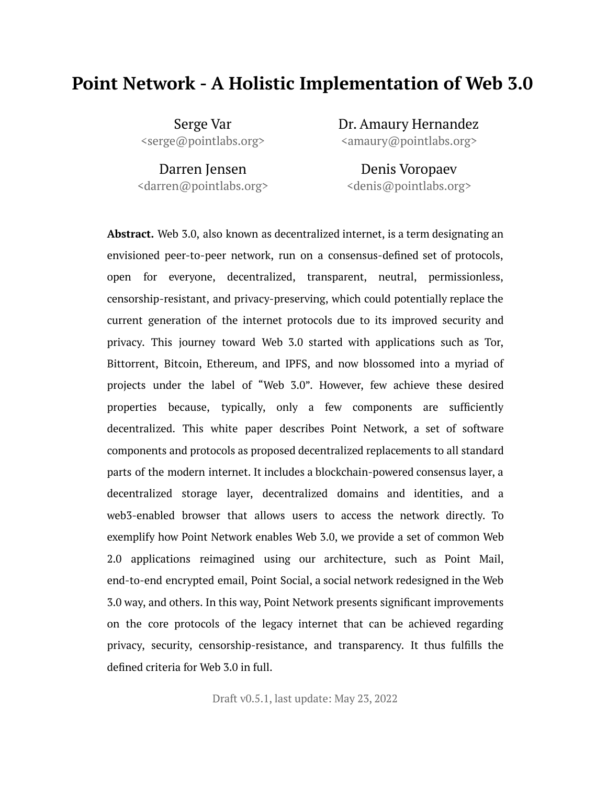## **Point Network - A Holistic Implementation of Web 3.0**

Serge Var <serge@pointlabs.org> Dr. Amaury Hernandez <amaury@pointlabs.org>

Darren Jensen <darren@pointlabs.org>

Denis Voropaev <denis@pointlabs.org>

**Abstract.** Web 3.0, also known as decentralized internet, is a term designating an envisioned peer-to-peer network, run on a consensus-defined set of protocols, open for everyone, decentralized, transparent, neutral, permissionless, censorship-resistant, and privacy-preserving, which could potentially replace the current generation of the internet protocols due to its improved security and privacy. This journey toward Web 3.0 started with applications such as Tor, Bittorrent, Bitcoin, Ethereum, and IPFS, and now blossomed into a myriad of projects under the label of "Web 3.0". However, few achieve these desired properties because, typically, only a few components are sufficiently decentralized. This white paper describes Point Network, a set of software components and protocols as proposed decentralized replacements to all standard parts of the modern internet. It includes a blockchain-powered consensus layer, a decentralized storage layer, decentralized domains and identities, and a web3-enabled browser that allows users to access the network directly. To exemplify how Point Network enables Web 3.0, we provide a set of common Web 2.0 applications reimagined using our architecture, such as Point Mail, end-to-end e[ncrypted](#page-32-0) email, Point Social, a social network redesigned in the Web 3.0 way, and others. In this way, Point Network presents significant improvements on the core protocols of the legacy internet that can be achieved regarding privacy, security, censorship-resistance, and transparency. It thus fulfills the defined criteria for Web 3.0 in full.

Draft v0.5.1, last update: May 23, 2022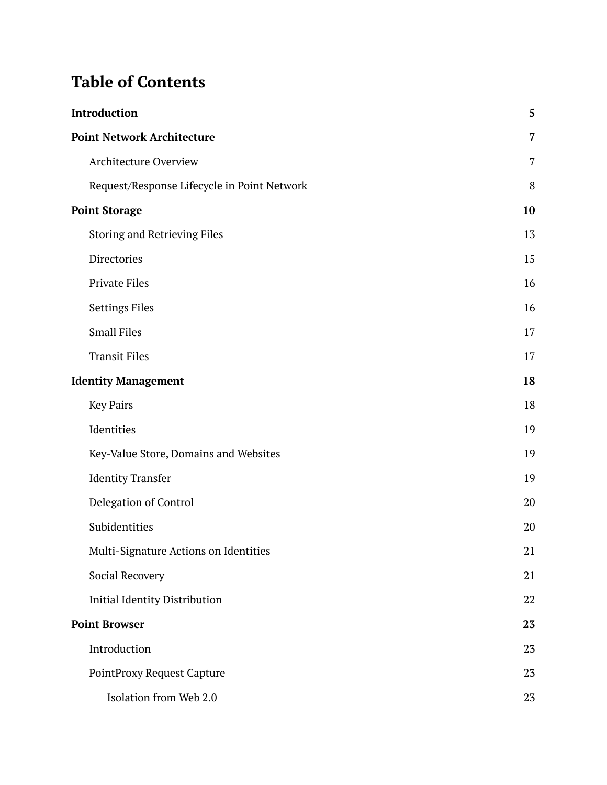# **Table of Contents**

| Introduction                                |                |
|---------------------------------------------|----------------|
| <b>Point Network Architecture</b>           |                |
| <b>Architecture Overview</b>                | $\overline{7}$ |
| Request/Response Lifecycle in Point Network | 8              |
| <b>Point Storage</b>                        | 10             |
| <b>Storing and Retrieving Files</b>         | 13             |
| Directories                                 | 15             |
| <b>Private Files</b>                        | 16             |
| <b>Settings Files</b>                       | 16             |
| <b>Small Files</b>                          | 17             |
| <b>Transit Files</b>                        | 17             |
| <b>Identity Management</b>                  | 18             |
| <b>Key Pairs</b>                            | 18             |
| Identities                                  | 19             |
| Key-Value Store, Domains and Websites       | 19             |
| <b>Identity Transfer</b>                    | 19             |
| Delegation of Control                       | 20             |
| Subidentities                               | 20             |
| Multi-Signature Actions on Identities       | 21             |
| Social Recovery                             | 21             |
| <b>Initial Identity Distribution</b>        | 22             |
| <b>Point Browser</b>                        | 23             |
| Introduction                                | 23             |
| PointProxy Request Capture                  | 23             |
| Isolation from Web 2.0                      | 23             |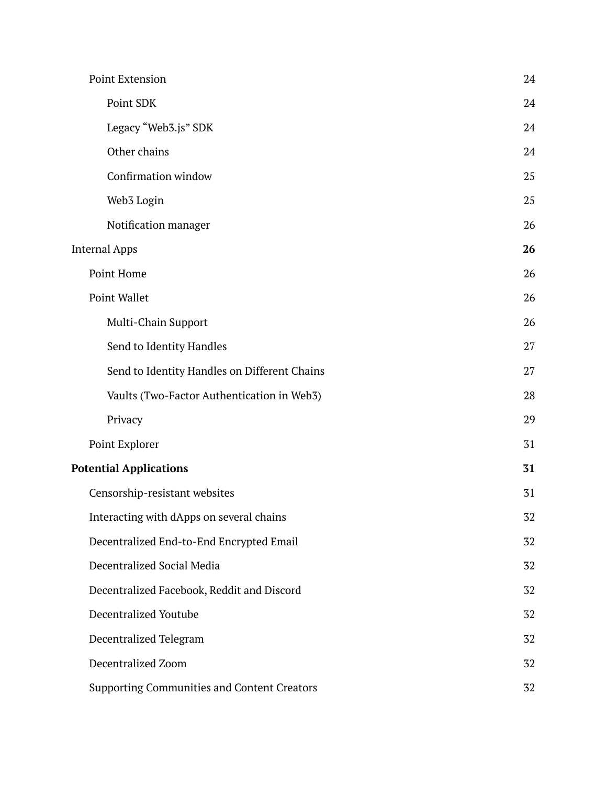|                               | Point Extension                                    | 24 |
|-------------------------------|----------------------------------------------------|----|
|                               | Point SDK                                          | 24 |
|                               | Legacy "Web3.js" SDK                               | 24 |
|                               | Other chains                                       | 24 |
|                               | Confirmation window                                | 25 |
|                               | Web3 Login                                         | 25 |
|                               | Notification manager                               | 26 |
|                               | <b>Internal Apps</b>                               | 26 |
|                               | Point Home                                         | 26 |
|                               | Point Wallet                                       | 26 |
|                               | Multi-Chain Support                                | 26 |
|                               | Send to Identity Handles                           | 27 |
|                               | Send to Identity Handles on Different Chains       | 27 |
|                               | Vaults (Two-Factor Authentication in Web3)         | 28 |
|                               | Privacy                                            | 29 |
|                               | Point Explorer                                     | 31 |
| <b>Potential Applications</b> |                                                    | 31 |
|                               | Censorship-resistant websites                      | 31 |
|                               | Interacting with dApps on several chains           | 32 |
|                               | Decentralized End-to-End Encrypted Email           | 32 |
|                               | Decentralized Social Media                         | 32 |
|                               | Decentralized Facebook, Reddit and Discord         | 32 |
|                               | <b>Decentralized Youtube</b>                       | 32 |
|                               | Decentralized Telegram                             | 32 |
|                               | Decentralized Zoom                                 | 32 |
|                               | <b>Supporting Communities and Content Creators</b> | 32 |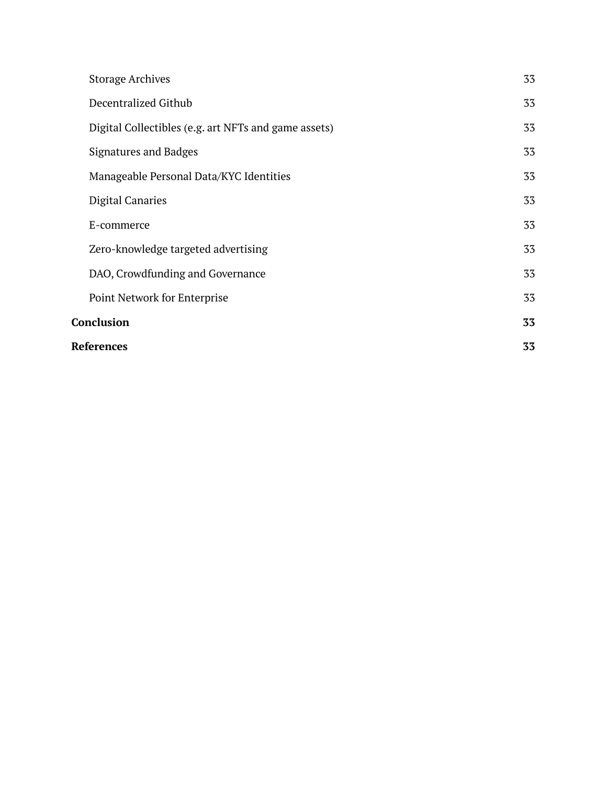|                   | References                                           |    |
|-------------------|------------------------------------------------------|----|
| <b>Conclusion</b> |                                                      | 33 |
|                   | Point Network for Enterprise                         | 33 |
|                   | DAO, Crowdfunding and Governance                     | 33 |
|                   | Zero-knowledge targeted advertising                  | 33 |
|                   | E-commerce                                           | 33 |
|                   | <b>Digital Canaries</b>                              | 33 |
|                   | Manageable Personal Data/KYC Identities              | 33 |
|                   | Signatures and Badges                                | 33 |
|                   | Digital Collectibles (e.g. art NFTs and game assets) | 33 |
|                   | Decentralized Github                                 | 33 |
|                   | <b>Storage Archives</b>                              | 33 |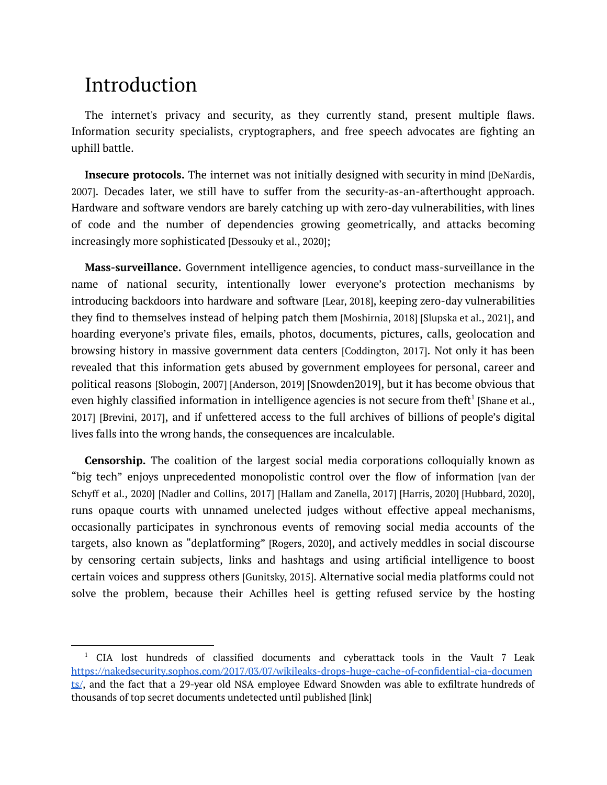# <span id="page-4-0"></span>Introduction

The internet's privacy and security, as they currently stand, present multiple flaws. Information security specialists, cryptographers, and free speech advocates are fighting an uphill battle.

**Insecure protocols.** The internet was not initially designed with security in mind [DeNardis, 2007]. Decades later, we still have to suffer from the security-as-an-afterthought approach. Hardware and software vendors are barely catching up with zero-day vulnerabilities, with lines of code and the number of dependencies growing geometrically, and attacks becoming increasingly more sophisticated [Dessouky et al., 2020];

**Mass-surveillance.** Government intelligence agencies, to conduct mass-surveillance in the name of national security, intentionally lower everyone's protection mechanisms by introducing backdoors into hardware and software [Lear, 2018], keeping zero-day vulnerabilities they find to themselves instead of helping patch them [Moshirnia, 2018] [Slupska et al., 2021], and hoarding everyone's private files, emails, photos, documents, pictures, calls, geolocation and browsing history in massive government data centers [Coddington, 2017]. Not only it has been revealed that this information gets abused by government employees for personal, career and political reasons [Slobogin, 2007] [Anderson, 2019] [Snowden2019], but it has become obvious that even highly classified information in intelligence agencies is not secure from theft $^1$  [Shane et al., 2017] [Brevini, 2017], and if unfettered access to the full archives of billions of people's digital lives falls into the wrong hands, the consequences are incalculable.

**Censorship.** The coalition of the largest social media corporations colloquially known as "big tech" enjoys unprecedented monopolistic control over the flow of information [van der Schyff et al., 2020] [Nadler and Collins, 2017] [Hallam and Zanella, 2017] [Harris, 2020] [Hubbard, 2020], runs opaque courts with unnamed unelected judges without effective appeal mechanisms, occasionally participates in synchronous events of removing social media accounts of the targets, also known as "deplatforming" [Rogers, 2020], and actively meddles in social discourse by censoring certain subjects, links and hashtags and using artificial intelligence to boost certain voices and suppress others [Gunitsky, 2015]. Alternative social media platforms could not solve the problem, because their Achilles heel is getting refused service by the hosting

<sup>1</sup> CIA lost hundreds of classified documents and cyberattack tools in the Vault 7 Leak [https://nakedsecurity.sophos.com/2017/03/07/wikileaks-drops-huge-cache-of-confidential-cia-documen](https://nakedsecurity.sophos.com/2017/03/07/wikileaks-drops-huge-cache-of-confidential-cia-documents/) [ts/](https://nakedsecurity.sophos.com/2017/03/07/wikileaks-drops-huge-cache-of-confidential-cia-documents/), and the fact that a 29-year old NSA employee Edward Snowden was able to exfiltrate hundreds of thousands of top secret documents undetected until published [link]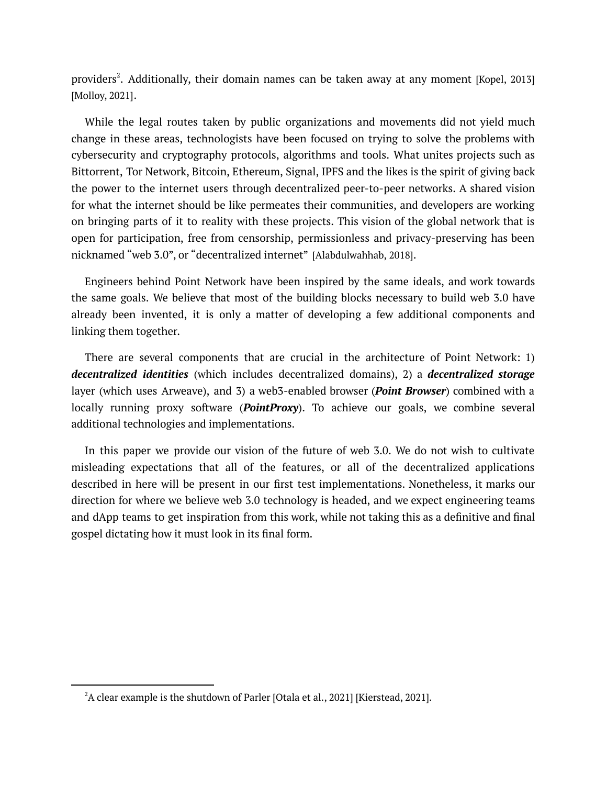providers 2 . Additionally, their domain names can be taken away at any moment [Kopel, 2013] [Molloy, 2021].

While the legal routes taken by public organizations and movements did not yield much change in these areas, technologists have been focused on trying to solve the problems with cybersecurity and cryptography protocols, algorithms and tools. What unites projects such as Bittorrent, Tor Network, Bitcoin, Ethereum, Signal, IPFS and the likes is the spirit of giving back the power to the internet users through decentralized peer-to-peer networks. A shared vision for what the internet should be like permeates their communities, and developers are working on bringing parts of it to reality with these projects. This vision of the global network that is open for participation, free from censorship, permissionless and privacy-preserving has been nicknamed "web 3.0", or "decentralized internet" [Alabdulwahhab, 2018].

Engineers behind Point Network have been inspired by the same ideals, and work towards the same goals. We believe that most of the building blocks necessary to build web 3.0 have already been invented, it is only a matter of developing a few additional components and linking them together.

There are several components that are crucial in the architecture of Point Network: 1) *decentralized identities* (which includes decentralized domains), 2) a *decentralized storage* layer (which uses Arweave), and 3) a web3-enabled browser (*Point Browser*) combined with a locally running proxy software (*PointProxy*). To achieve our goals, we combine several additional technologies and implementations.

In this paper we provide our vision of the future of web 3.0. We do not wish to cultivate misleading expectations that all of the features, or all of the decentralized applications described in here will be present in our first test implementations. Nonetheless, it marks our direction for where we believe web 3.0 technology is headed, and we expect engineering teams and dApp teams to get inspiration from this work, while not taking this as a definitive and final gospel dictating how it must look in its final form.

 $2A$  clear example is the shutdown of Parler [Otala et al., 2021] [Kierstead, 2021].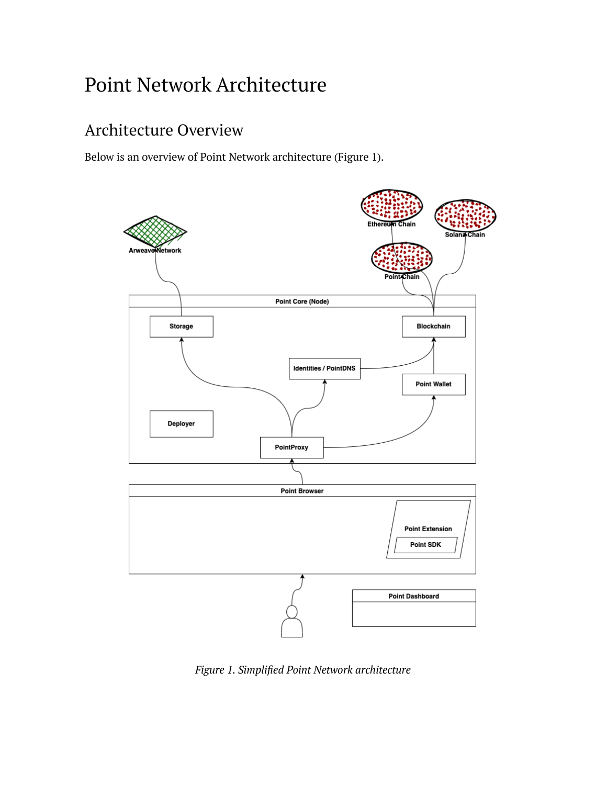# <span id="page-6-0"></span>Point Network Architecture

## <span id="page-6-1"></span>Architecture Overview

Below is an overview of Point Network architecture (Figure 1).



*Figure 1. Simplified Point Network architecture*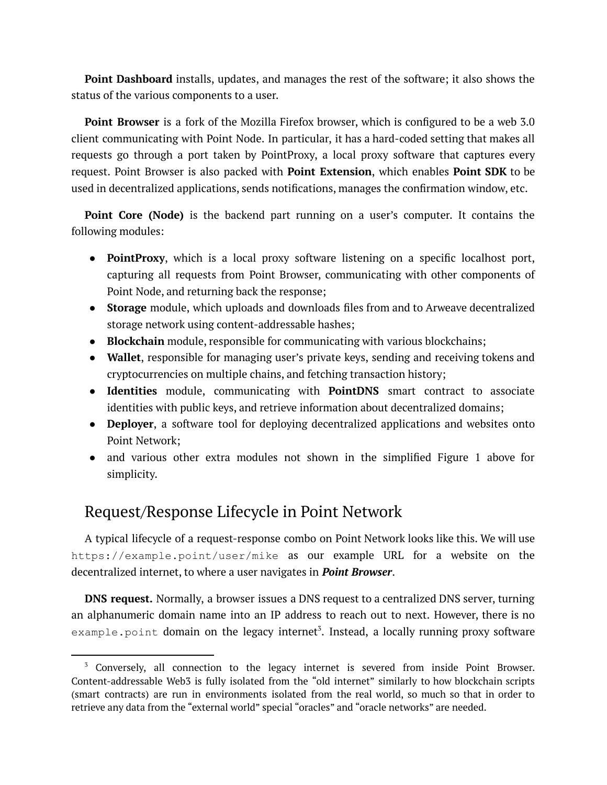**Point Dashboard** installs, updates, and manages the rest of the software; it also shows the status of the various components to a user.

**Point Browser** is a fork of the Mozilla Firefox browser, which is configured to be a web 3.0 client communicating with Point Node. In particular, it has a hard-coded setting that makes all requests go through a port taken by PointProxy, a local proxy software that captures every request. Point Browser is also packed with **Point Extension**, which enables **Point SDK** to be used in decentralized applications, sends notifications, manages the confirmation window, etc.

**Point Core (Node)** is the backend part running on a user's computer. It contains the following modules:

- **PointProxy**, which is a local proxy software listening on a specific localhost port, capturing all requests from Point Browser, communicating with other components of Point Node, and returning back the response;
- **Storage** module, which uploads and downloads files from and to Arweave decentralized storage network using content-addressable hashes;
- **Blockchain** module, responsible for communicating with various blockchains;
- **Wallet**, responsible for managing user's private keys, sending and receiving tokens and cryptocurrencies on multiple chains, and fetching transaction history;
- **Identities** module, communicating with **PointDNS** smart contract to associate identities with public keys, and retrieve information about decentralized domains;
- **Deployer**, a software tool for deploying decentralized applications and websites onto Point Network;
- and various other extra modules not shown in the simplified Figure 1 above for simplicity.

## <span id="page-7-0"></span>Request/Response Lifecycle in Point Network

A typical lifecycle of a request-response combo on Point Network looks like this. We will use https://example.point/user/mike as our example URL for a website on the decentralized internet, to where a user navigates in *Point Browser*.

**DNS request.** Normally, a browser issues a DNS request to a centralized DNS server, turning an alphanumeric domain name into an IP address to reach out to next. However, there is no  $\mathtt{example.point}$  domain on the legacy internet $^3$ . Instead, a locally running proxy software

<sup>&</sup>lt;sup>3</sup> Conversely, all connection to the legacy internet is severed from inside Point Browser. Content-addressable Web3 is fully isolated from the "old internet" similarly to how blockchain scripts (smart contracts) are run in environments isolated from the real world, so much so that in order to retrieve any data from the "external world" special "oracles" and "oracle networks" are needed.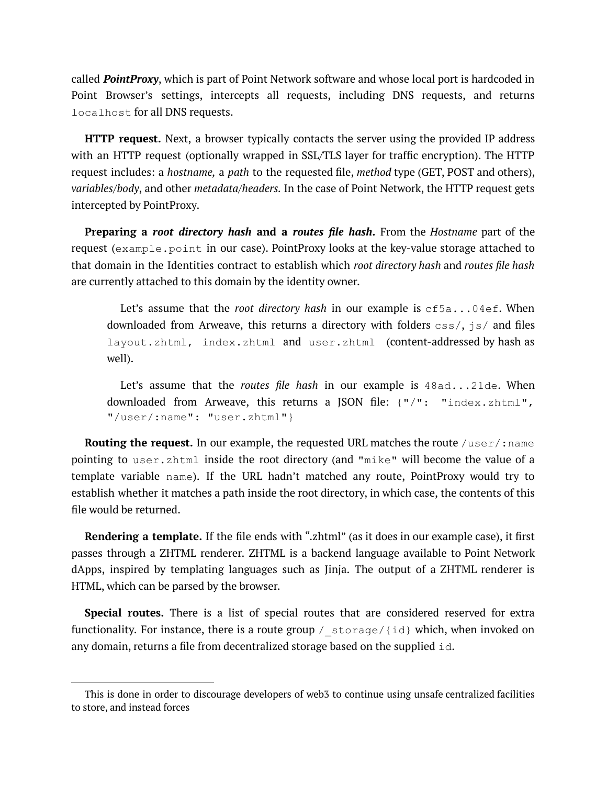called *PointProxy*, which is part of Point Network software and whose local port is hardcoded in Point Browser's settings, intercepts all requests, including DNS requests, and returns localhost for all DNS requests.

**HTTP request.** Next, a browser typically contacts the server using the provided IP address with an HTTP request (optionally wrapped in SSL/TLS layer for traffic encryption). The HTTP request includes: a *hostname,* a *path* to the requested file, *method* type (GET, POST and others), *variables/body*, and other *metadata/headers.* In the case of Point Network, the HTTP request gets intercepted by PointProxy.

**Preparing a** *root directory hash* **and a** *routes file hash***.** From the *Hostname* part of the request (example.point in our case). PointProxy looks at the key-value storage attached to that domain in the Identities contract to establish which *root directory hash* and *routes file hash* are currently attached to this domain by the identity owner.

Let's assume that the *root directory hash* in our example is cf5a...04ef. When downloaded from Arweave, this returns a directory with folders  $\cos$  /,  $\sin$  / and files layout.zhtml, index.zhtml and user.zhtml (content-addressed by hash as well).

Let's assume that the *routes file hash* in our example is 48ad...21de. When downloaded from Arweave, this returns a JSON file: {"/": "index.zhtml", "/user/:name": "user.zhtml"}

**Routing the request.** In our example, the requested URL matches the route /user/:name pointing to user.zhtml inside the root directory (and "mike" will become the value of a template variable name). If the URL hadn't matched any route, PointProxy would try to establish whether it matches a path inside the root directory, in which case, the contents of this file would be returned.

**Rendering a template.** If the file ends with ".zhtml" (as it does in our example case), it first passes through a ZHTML renderer. ZHTML is a backend language available to Point Network dApps, inspired by templating languages such as Jinja. The output of a ZHTML renderer is HTML, which can be parsed by the browser.

**Special routes.** There is a list of special routes that are considered reserved for extra functionality. For instance, there is a route group / storage/{id} which, when invoked on any domain, returns a file from decentralized storage based on the supplied  $\pm d$ .

This is done in order to discourage developers of web3 to continue using unsafe centralized facilities to store, and instead forces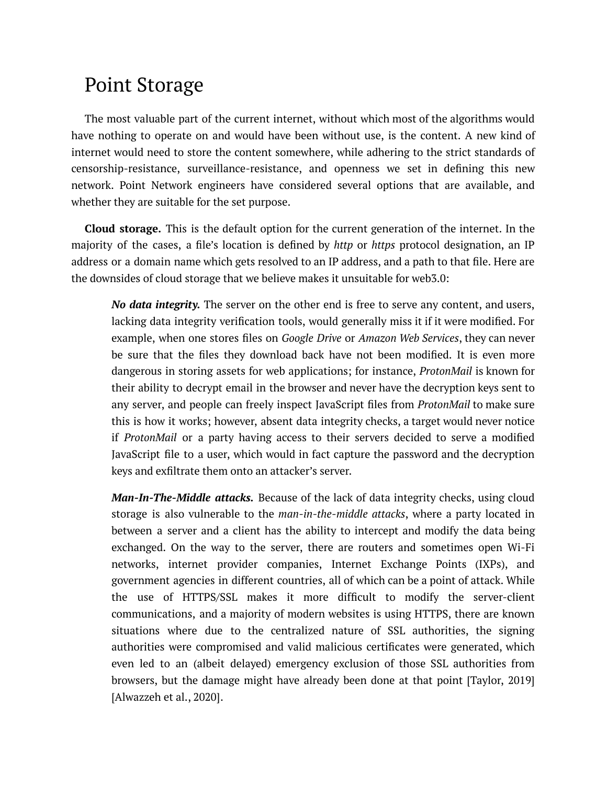# <span id="page-9-0"></span>Point Storage

The most valuable part of the current internet, without which most of the algorithms would have nothing to operate on and would have been without use, is the content. A new kind of internet would need to store the content somewhere, while adhering to the strict standards of censorship-resistance, surveillance-resistance, and openness we set in defining this new network. Point Network engineers have considered several options that are available, and whether they are suitable for the set purpose.

**Cloud storage.** This is the default option for the current generation of the internet. In the majority of the cases, a file's location is defined by *http* or *https* protocol designation, an IP address or a domain name which gets resolved to an IP address, and a path to that file. Here are the downsides of cloud storage that we believe makes it unsuitable for web3.0:

*No data integrity.* The server on the other end is free to serve any content, and users, lacking data integrity verification tools, would generally miss it if it were modified. For example, when one stores files on *Google Drive* or *Amazon Web Services*, they can never be sure that the files they download back have not been modified. It is even more dangerous in storing assets for web applications; for instance, *ProtonMail* is known for their ability to decrypt email in the browser and never have the decryption keys sent to any server, and people can freely inspect JavaScript files from *ProtonMail* to make sure this is how it works; however, absent data integrity checks, a target would never notice if *ProtonMail* or a party having access to their servers decided to serve a modified JavaScript file to a user, which would in fact capture the password and the decryption keys and exfiltrate them onto an attacker's server.

*Man-In-The-Middle attacks.* Because of the lack of data integrity checks, using cloud storage is also vulnerable to the *man-in-the-middle attacks*, where a party located in between a server and a client has the ability to intercept and modify the data being exchanged. On the way to the server, there are routers and sometimes open Wi-Fi networks, internet provider companies, Internet Exchange Points (IXPs), and government agencies in different countries, all of which can be a point of attack. While the use of HTTPS/SSL makes it more difficult to modify the server-client communications, and a majority of modern websites is using HTTPS, there are known situations where due to the centralized nature of SSL authorities, the signing authorities were compromised and valid malicious certificates were generated, which even led to an (albeit delayed) emergency exclusion of those SSL authorities from browsers, but the damage might have already been done at that point [Taylor, 2019] [Alwazzeh et al., 2020].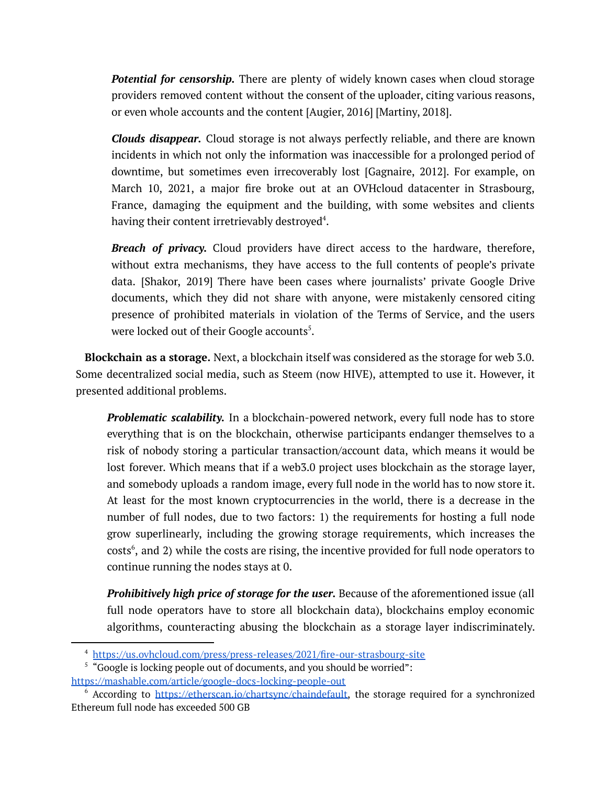*Potential for censorship.* There are plenty of widely known cases when cloud storage providers removed content without the consent of the uploader, citing various reasons, or even whole accounts and the content [Augier, 2016] [Martiny, 2018].

*Clouds disappear.* Cloud storage is not always perfectly reliable, and there are known incidents in which not only the information was inaccessible for a prolonged period of downtime, but sometimes even irrecoverably lost [Gagnaire, 2012]. For example, on March 10, 2021, a major fire broke out at an OVHcloud datacenter in Strasbourg, France, damaging the equipment and the building, with some websites and clients having their content irretrievably destroyed<sup>4</sup>.

*Breach of privacy.* Cloud providers have direct access to the hardware, therefore, without extra mechanisms, they have access to the full contents of people's private data. [Shakor, 2019] There have been cases where journalists' private Google Drive documents, which they did not share with anyone, were mistakenly censored citing presence of prohibited materials in violation of the Terms of Service, and the users were locked out of their Google accounts<sup>5</sup>.

**Blockchain as a storage.** Next, a blockchain itself was considered as the storage for web 3.0. Some decentralized social media, such as Steem (now HIVE), attempted to use it. However, it presented additional problems.

*Problematic scalability.* In a blockchain-powered network, every full node has to store everything that is on the blockchain, otherwise participants endanger themselves to a risk of nobody storing a particular transaction/account data, which means it would be lost forever. Which means that if a web3.0 project uses blockchain as the storage layer, and somebody uploads a random image, every full node in the world has to now store it. At least for the most known cryptocurrencies in the world, there is a decrease in the number of full nodes, due to two factors: 1) the requirements for hosting a full node grow superlinearly, including the growing storage requirements, which increases the  $costs<sup>6</sup>$ , and 2) while the costs are rising, the incentive provided for full node operators to continue running the nodes stays at 0.

*Prohibitively high price of storage for the user.* Because of the aforementioned issue (all full node operators have to store all blockchain data), blockchains employ economic algorithms, counteracting abusing the blockchain as a storage layer indiscriminately.

<sup>4</sup> <https://us.ovhcloud.com/press/press-releases/2021/fire-our-strasbourg-site>

<sup>&</sup>lt;sup>5</sup> "Google is locking people out of documents, and you should be worried": <https://mashable.com/article/google-docs-locking-people-out>

 $6$  According to [https://etherscan.io/chartsync/chaindefault,](https://etherscan.io/chartsync/chaindefault) the storage required for a synchronized Ethereum full node has exceeded 500 GB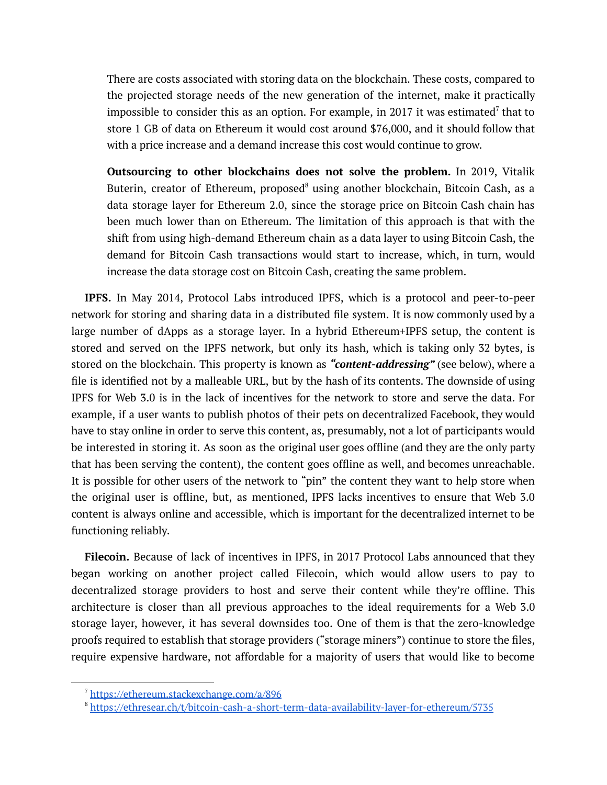There are costs associated with storing data on the blockchain. These costs, compared to the projected storage needs of the new generation of the internet, make it practically impossible to consider this as an option. For example, in 2017 it was estimated<sup>7</sup> that to store 1 GB of data on Ethereum it would cost around \$76,000, and it should follow that with a price increase and a demand increase this cost would continue to grow.

**Outsourcing to other blockchains does not solve the problem.** In 2019, Vitalik Buterin, creator of Ethereum, proposed $^8$  using another blockchain, Bitcoin Cash, as a data storage layer for Ethereum 2.0, since the storage price on Bitcoin Cash chain has been much lower than on Ethereum. The limitation of this approach is that with the shift from using high-demand Ethereum chain as a data layer to using Bitcoin Cash, the demand for Bitcoin Cash transactions would start to increase, which, in turn, would increase the data storage cost on Bitcoin Cash, creating the same problem.

**IPFS.** In May 2014, Protocol Labs introduced IPFS, which is a protocol and peer-to-peer network for storing and sharing data in a distributed file system. It is now commonly used by a large number of dApps as a storage layer. In a hybrid Ethereum+IPFS setup, the content is stored and served on the IPFS network, but only its hash, which is taking only 32 bytes, is stored on the blockchain. This property is known as *"content-addressing"* (see below), where a file is identified not by a malleable URL, but by the hash of its contents. The downside of using IPFS for Web 3.0 is in the lack of incentives for the network to store and serve the data. For example, if a user wants to publish photos of their pets on decentralized Facebook, they would have to stay online in order to serve this content, as, presumably, not a lot of participants would be interested in storing it. As soon as the original user goes offline (and they are the only party that has been serving the content), the content goes offline as well, and becomes unreachable. It is possible for other users of the network to "pin" the content they want to help store when the original user is offline, but, as mentioned, IPFS lacks incentives to ensure that Web 3.0 content is always online and accessible, which is important for the decentralized internet to be functioning reliably.

**Filecoin.** Because of lack of incentives in IPFS, in 2017 Protocol Labs announced that they began working on another project called Filecoin, which would allow users to pay to decentralized storage providers to host and serve their content while they're offline. This architecture is closer than all previous approaches to the ideal requirements for a Web 3.0 storage layer, however, it has several downsides too. One of them is that the zero-knowledge proofs required to establish that storage providers ("storage miners") continue to store the files, require expensive hardware, not affordable for a majority of users that would like to become

<sup>7</sup> <https://ethereum.stackexchange.com/a/896>

<sup>8</sup> <https://ethresear.ch/t/bitcoin-cash-a-short-term-data-availability-layer-for-ethereum/5735>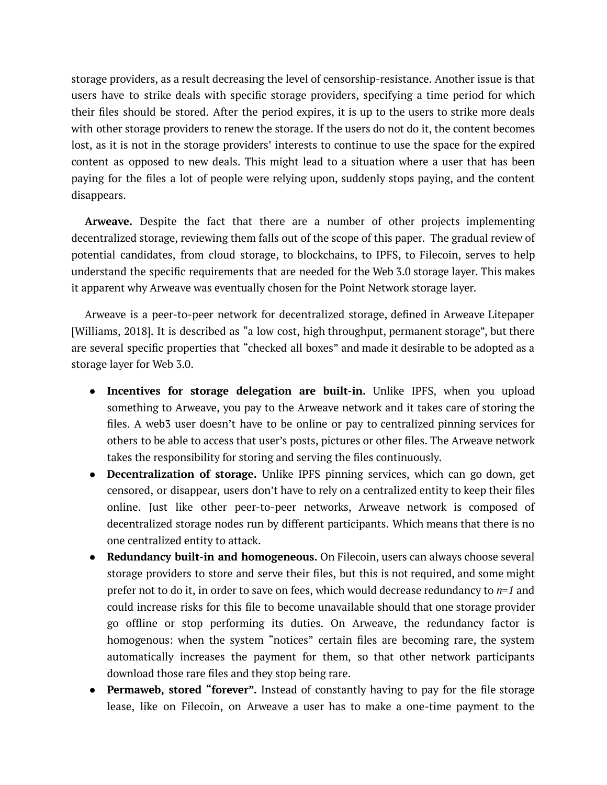storage providers, as a result decreasing the level of censorship-resistance. Another issue is that users have to strike deals with specific storage providers, specifying a time period for which their files should be stored. After the period expires, it is up to the users to strike more deals with other storage providers to renew the storage. If the users do not do it, the content becomes lost, as it is not in the storage providers' interests to continue to use the space for the expired content as opposed to new deals. This might lead to a situation where a user that has been paying for the files a lot of people were relying upon, suddenly stops paying, and the content disappears.

**Arweave.** Despite the fact that there are a number of other projects implementing decentralized storage, reviewing them falls out of the scope of this paper. The gradual review of potential candidates, from cloud storage, to blockchains, to IPFS, to Filecoin, serves to help understand the specific requirements that are needed for the Web 3.0 storage layer. This makes it apparent why Arweave was eventually chosen for the Point Network storage layer.

Arweave is a peer-to-peer network for decentralized storage, defined in Arweave Litepaper [Williams, 2018]. It is described as "a low cost, high throughput, permanent storage", but there are several specific properties that "checked all boxes" and made it desirable to be adopted as a storage layer for Web 3.0.

- **Incentives for storage delegation are built-in.** Unlike IPFS, when you upload something to Arweave, you pay to the Arweave network and it takes care of storing the files. A web3 user doesn't have to be online or pay to centralized pinning services for others to be able to access that user's posts, pictures or other files. The Arweave network takes the responsibility for storing and serving the files continuously.
- **Decentralization of storage.** Unlike IPFS pinning services, which can go down, get censored, or disappear, users don't have to rely on a centralized entity to keep their files online. Just like other peer-to-peer networks, Arweave network is composed of decentralized storage nodes run by different participants. Which means that there is no one centralized entity to attack.
- **Redundancy built-in and homogeneous.** On Filecoin, users can always choose several storage providers to store and serve their files, but this is not required, and some might prefer not to do it, in order to save on fees, which would decrease redundancy to *n=1* and could increase risks for this file to become unavailable should that one storage provider go offline or stop performing its duties. On Arweave, the redundancy factor is homogenous: when the system "notices" certain files are becoming rare, the system automatically increases the payment for them, so that other network participants download those rare files and they stop being rare.
- **Permaweb, stored "forever".** Instead of constantly having to pay for the file storage lease, like on Filecoin, on Arweave a user has to make a one-time payment to the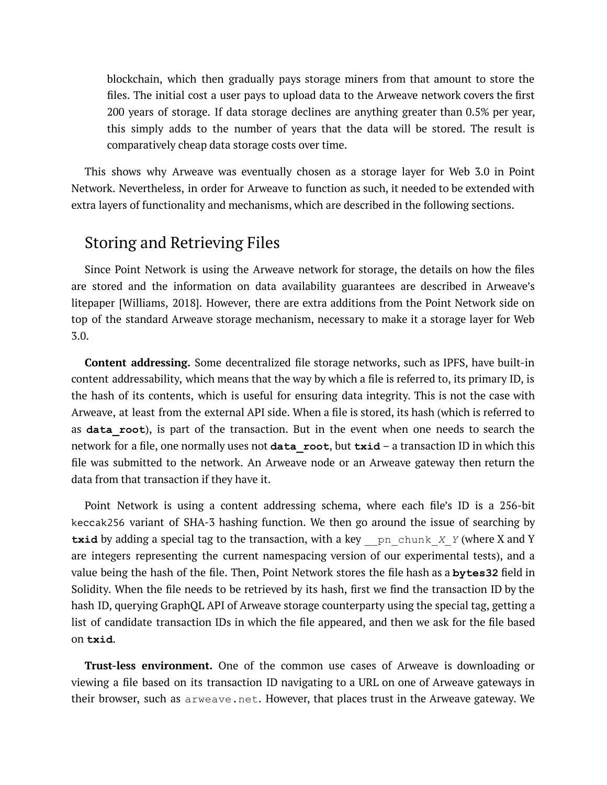blockchain, which then gradually pays storage miners from that amount to store the files. The initial cost a user pays to upload data to the Arweave network covers the first 200 years of storage. If data storage declines are anything greater than 0.5% per year, this simply adds to the number of years that the data will be stored. The result is comparatively cheap data storage costs over time.

This shows why Arweave was eventually chosen as a storage layer for Web 3.0 in Point Network. Nevertheless, in order for Arweave to function as such, it needed to be extended with extra layers of functionality and mechanisms, which are described in the following sections.

### <span id="page-13-0"></span>Storing and Retrieving Files

Since Point Network is using the Arweave network for storage, the details on how the files are stored and the information on data availability guarantees are described in Arweave's litepaper [Williams, 2018]. However, there are extra additions from the Point Network side on top of the standard Arweave storage mechanism, necessary to make it a storage layer for Web 3.0.

**Content addressing.** Some decentralized file storage networks, such as IPFS, have built-in content addressability, which means that the way by which a file is referred to, its primary ID, is the hash of its contents, which is useful for ensuring data integrity. This is not the case with Arweave, at least from the external API side. When a file is stored, its hash (which is referred to as **data\_root**), is part of the transaction. But in the event when one needs to search the network for a file, one normally uses not **data\_root**, but **txid** – a transaction ID in which this file was submitted to the network. An Arweave node or an Arweave gateway then return the data from that transaction if they have it.

Point Network is using a content addressing schema, where each file's ID is a 256-bit keccak256 variant of SHA-3 hashing function. We then go around the issue of searching by **txid** by adding a special tag to the transaction, with a key pn chunk *X Y* (where X and Y are integers representing the current namespacing version of our experimental tests), and a value being the hash of the file. Then, Point Network stores the file hash as a **bytes32** field in Solidity. When the file needs to be retrieved by its hash, first we find the transaction ID by the hash ID, querying GraphQL API of Arweave storage counterparty using the special tag, getting a list of candidate transaction IDs in which the file appeared, and then we ask for the file based on **txid**.

**Trust-less environment.** One of the common use cases of Arweave is downloading or viewing a file based on its transaction ID navigating to a URL on one of Arweave gateways in their browser, such as arweave.net. However, that places trust in the Arweave gateway. We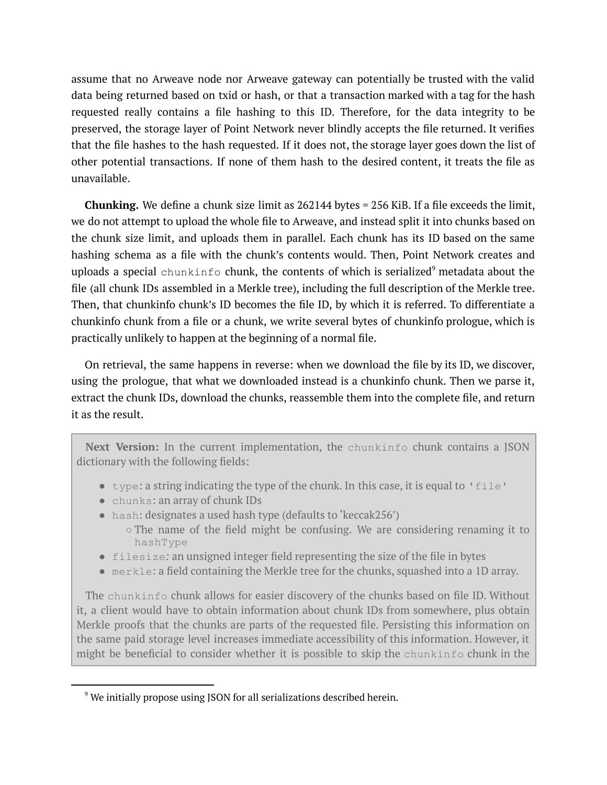assume that no Arweave node nor Arweave gateway can potentially be trusted with the valid data being returned based on txid or hash, or that a transaction marked with a tag for the hash requested really contains a file hashing to this ID. Therefore, for the data integrity to be preserved, the storage layer of Point Network never blindly accepts the file returned. It verifies that the file hashes to the hash requested. If it does not, the storage layer goes down the list of other potential transactions. If none of them hash to the desired content, it treats the file as unavailable.

**Chunking.** We define a chunk size limit as 262144 bytes = 256 KiB. If a file exceeds the limit, we do not attempt to upload the whole file to Arweave, and instead split it into chunks based on the chunk size limit, and uploads them in parallel. Each chunk has its ID based on the same hashing schema as a file with the chunk's contents would. Then, Point Network creates and uploads a special  $\mathtt{chunk}$  chunk, the contents of which is serialized $^9$  metadata about the file (all chunk IDs assembled in a Merkle tree), including the full description of the Merkle tree. Then, that chunkinfo chunk's ID becomes the file ID, by which it is referred. To differentiate a chunkinfo chunk from a file or a chunk, we write several bytes of chunkinfo prologue, which is practically unlikely to happen at the beginning of a normal file.

On retrieval, the same happens in reverse: when we download the file by its ID, we discover, using the prologue, that what we downloaded instead is a chunkinfo chunk. Then we parse it, extract the chunk IDs, download the chunks, reassemble them into the complete file, and return it as the result.

**Next Version:** In the current implementation, the chunkinfo chunk contains a JSON dictionary with the following fields:

- $\bullet$  type: a string indicating the type of the chunk. In this case, it is equal to 'file'
- chunks: an array of chunk IDs
- hash: designates a used hash type (defaults to 'keccak256')
	- $\circ$  The name of the field might be confusing. We are considering renaming it to hashType
- filesize*:* an unsigned integer field representing the size of the file in bytes
- merkle: a field containing the Merkle tree for the chunks, squashed into a 1D array.

The chunkinfo chunk allows for easier discovery of the chunks based on file ID. Without it, a client would have to obtain information about chunk IDs from somewhere, plus obtain Merkle proofs that the chunks are parts of the requested file. Persisting this information on the same paid storage level increases immediate accessibility of this information. However, it might be beneficial to consider whether it is possible to skip the chunkinfo chunk in the

<sup>&</sup>lt;sup>9</sup> We initially propose using JSON for all serializations described herein.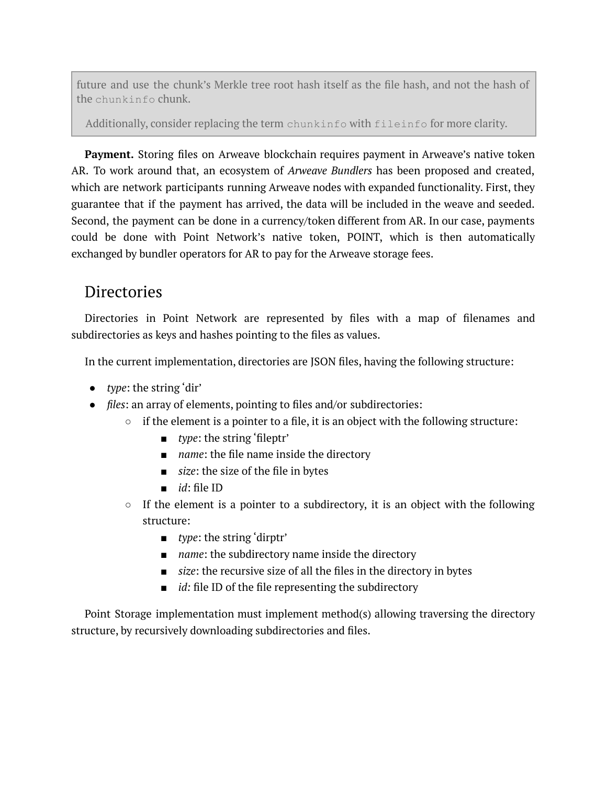future and use the chunk's Merkle tree root hash itself as the file hash, and not the hash of the chunkinfo chunk.

Additionally, consider replacing the term chunkinfo with fileinfo for more clarity.

**Payment.** Storing files on Arweave blockchain requires payment in Arweave's native token AR. To work around that, an ecosystem of *Arweave Bundlers* has been proposed and created, which are network participants running Arweave nodes with expanded functionality. First, they guarantee that if the payment has arrived, the data will be included in the weave and seeded. Second, the payment can be done in a currency/token different from AR. In our case, payments could be done with Point Network's native token, POINT, which is then automatically exchanged by bundler operators for AR to pay for the Arweave storage fees.

## <span id="page-15-0"></span>**Directories**

Directories in Point Network are represented by files with a map of filenames and subdirectories as keys and hashes pointing to the files as values.

In the current implementation, directories are JSON files, having the following structure:

- *type*: the string 'dir'
- *files*: an array of elements, pointing to files and/or subdirectories:
	- $\circ$  if the element is a pointer to a file, it is an object with the following structure:
		- *type*: the string 'fileptr'
		- *name*: the file name inside the directory
		- *size*: the size of the file in bytes
		- *id*: file ID
	- $\circ$  If the element is a pointer to a subdirectory, it is an object with the following structure:
		- *type*: the string 'dirptr'
		- *name*: the subdirectory name inside the directory
		- *size*: the recursive size of all the files in the directory in bytes
		- *id:* file ID of the file representing the subdirectory

Point Storage implementation must implement method(s) allowing traversing the directory structure, by recursively downloading subdirectories and files.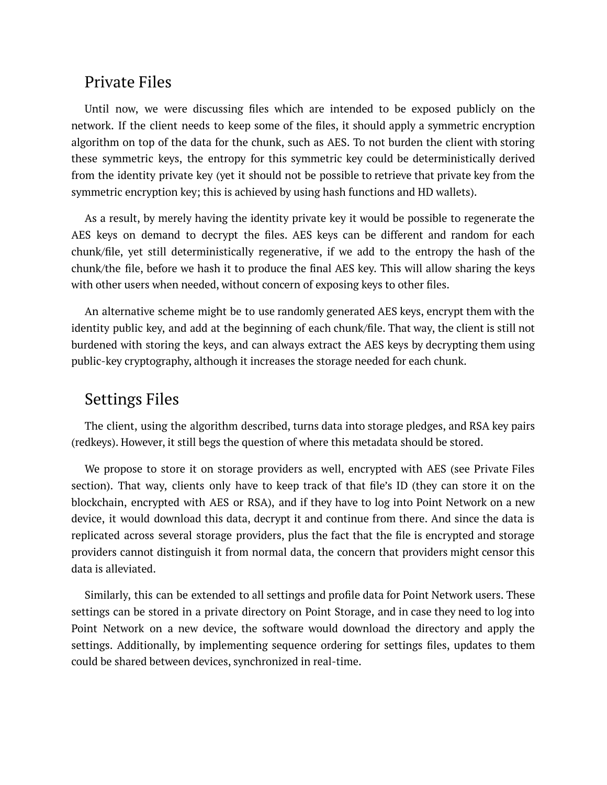#### <span id="page-16-0"></span>Private Files

Until now, we were discussing files which are intended to be exposed publicly on the network. If the client needs to keep some of the files, it should apply a symmetric encryption algorithm on top of the data for the chunk, such as AES. To not burden the client with storing these symmetric keys, the entropy for this symmetric key could be deterministically derived from the identity private key (yet it should not be possible to retrieve that private key from the symmetric encryption key; this is achieved by using hash functions and HD wallets).

As a result, by merely having the identity private key it would be possible to regenerate the AES keys on demand to decrypt the files. AES keys can be different and random for each chunk/file, yet still deterministically regenerative, if we add to the entropy the hash of the chunk/the file, before we hash it to produce the final AES key. This will allow sharing the keys with other users when needed, without concern of exposing keys to other files.

An alternative scheme might be to use randomly generated AES keys, encrypt them with the identity public key, and add at the beginning of each chunk/file. That way, the client is still not burdened with storing the keys, and can always extract the AES keys by decrypting them using public-key cryptography, although it increases the storage needed for each chunk.

### <span id="page-16-1"></span>Settings Files

The client, using the algorithm described, turns data into storage pledges, and RSA key pairs (redkeys). However, it still begs the question of where this metadata should be stored.

We propose to store it on storage providers as well, encrypted with AES (see Private Files section). That way, clients only have to keep track of that file's ID (they can store it on the blockchain, encrypted with AES or RSA), and if they have to log into Point Network on a new device, it would download this data, decrypt it and continue from there. And since the data is replicated across several storage providers, plus the fact that the file is encrypted and storage providers cannot distinguish it from normal data, the concern that providers might censor this data is alleviated.

Similarly, this can be extended to all settings and profile data for Point Network users. These settings can be stored in a private directory on Point Storage, and in case they need to log into Point Network on a new device, the software would download the directory and apply the settings. Additionally, by implementing sequence ordering for settings files, updates to them could be shared between devices, synchronized in real-time.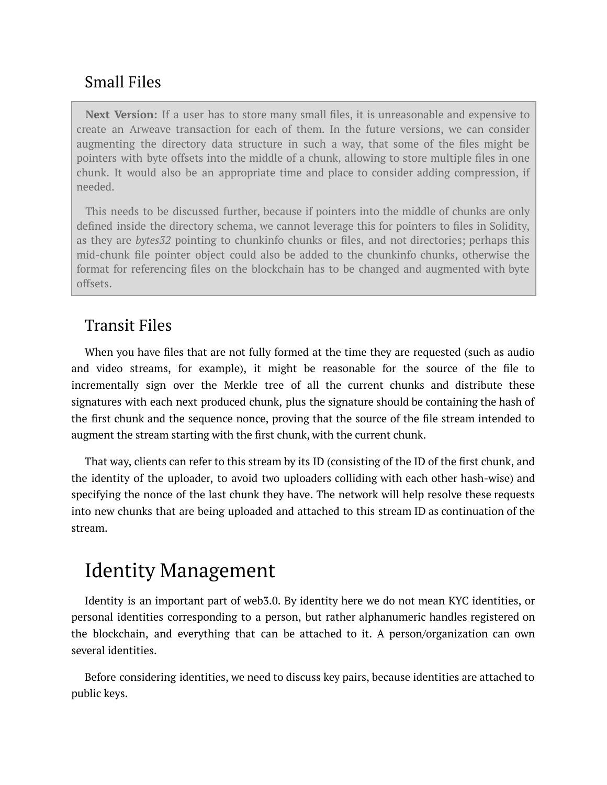## <span id="page-17-0"></span>Small Files

**Next Version:** If a user has to store many small files, it is unreasonable and expensive to create an Arweave transaction for each of them. In the future versions, we can consider augmenting the directory data structure in such a way, that some of the files might be pointers with byte offsets into the middle of a chunk, allowing to store multiple files in one chunk. It would also be an appropriate time and place to consider adding compression, if needed.

This needs to be discussed further, because if pointers into the middle of chunks are only defined inside the directory schema, we cannot leverage this for pointers to files in Solidity, as they are *bytes32* pointing to chunkinfo chunks or files, and not directories; perhaps this mid-chunk file pointer object could also be added to the chunkinfo chunks, otherwise the format for referencing files on the blockchain has to be changed and augmented with byte offsets.

## <span id="page-17-1"></span>Transit Files

When you have files that are not fully formed at the time they are requested (such as audio and video streams, for example), it might be reasonable for the source of the file to incrementally sign over the Merkle tree of all the current chunks and distribute these signatures with each next produced chunk, plus the signature should be containing the hash of the first chunk and the sequence nonce, proving that the source of the file stream intended to augment the stream starting with the first chunk, with the current chunk.

That way, clients can refer to this stream by its ID (consisting of the ID of the first chunk, and the identity of the uploader, to avoid two uploaders colliding with each other hash-wise) and specifying the nonce of the last chunk they have. The network will help resolve these requests into new chunks that are being uploaded and attached to this stream ID as continuation of the stream.

# <span id="page-17-2"></span>Identity Management

Identity is an important part of web3.0. By identity here we do not mean KYC identities, or personal identities corresponding to a person, but rather alphanumeric handles registered on the blockchain, and everything that can be attached to it. A person/organization can own several identities.

Before considering identities, we need to discuss key pairs, because identities are attached to public keys.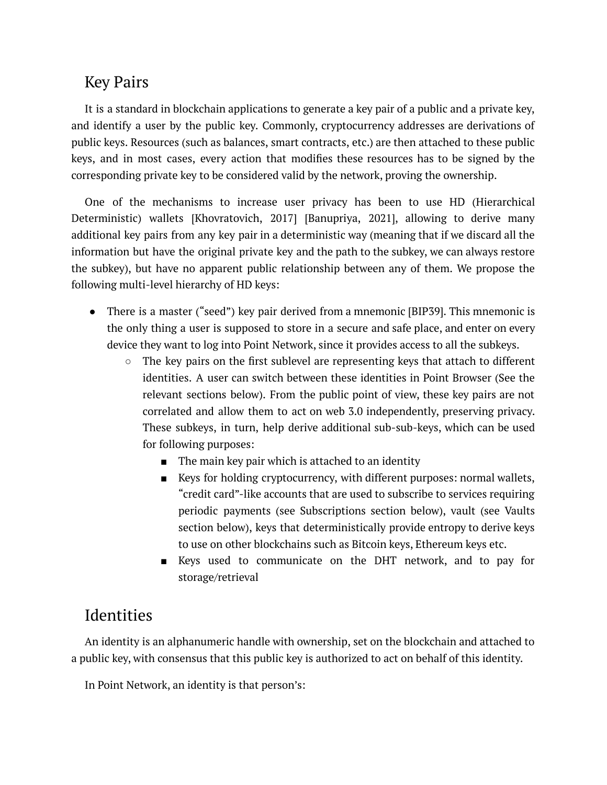## <span id="page-18-0"></span>Key Pairs

It is a standard in blockchain applications to generate a key pair of a public and a private key, and identify a user by the public key. Commonly, cryptocurrency addresses are derivations of public keys. Resources (such as balances, smart contracts, etc.) are then attached to these public keys, and in most cases, every action that modifies these resources has to be signed by the corresponding private key to be considered valid by the network, proving the ownership.

One of the mechanisms to increase user privacy has been to use HD (Hierarchical Deterministic) wallets [Khovratovich, 2017] [Banupriya, 2021], allowing to derive many additional key pairs from any key pair in a deterministic way (meaning that if we discard all the information but have the original private key and the path to the subkey, we can always restore the subkey), but have no apparent public relationship between any of them. We propose the following multi-level hierarchy of HD keys:

- There is a master ("seed") key pair derived from a mnemonic [BIP39]. This mnemonic is the only thing a user is supposed to store in a secure and safe place, and enter on every device they want to log into Point Network, since it provides access to all the subkeys.
	- $\circ$  The key pairs on the first sublevel are representing keys that attach to different identities. A user can switch between these identities in Point Browser (See the relevant sections below). From the public point of view, these key pairs are not correlated and allow them to act on web 3.0 independently, preserving privacy. These subkeys, in turn, help derive additional sub-sub-keys, which can be used for following purposes:
		- The main key pair which is attached to an identity
		- Keys for holding cryptocurrency, with different purposes: normal wallets, "credit card"-like accounts that are used to subscribe to services requiring periodic payments (see Subscriptions section below), vault (see Vaults section below), keys that deterministically provide entropy to derive keys to use on other blockchains such as Bitcoin keys, Ethereum keys etc.
		- Keys used to communicate on the DHT network, and to pay for storage/retrieval

## <span id="page-18-1"></span>Identities

An identity is an alphanumeric handle with ownership, set on the blockchain and attached to a public key, with consensus that this public key is authorized to act on behalf of this identity.

In Point Network, an identity is that person's: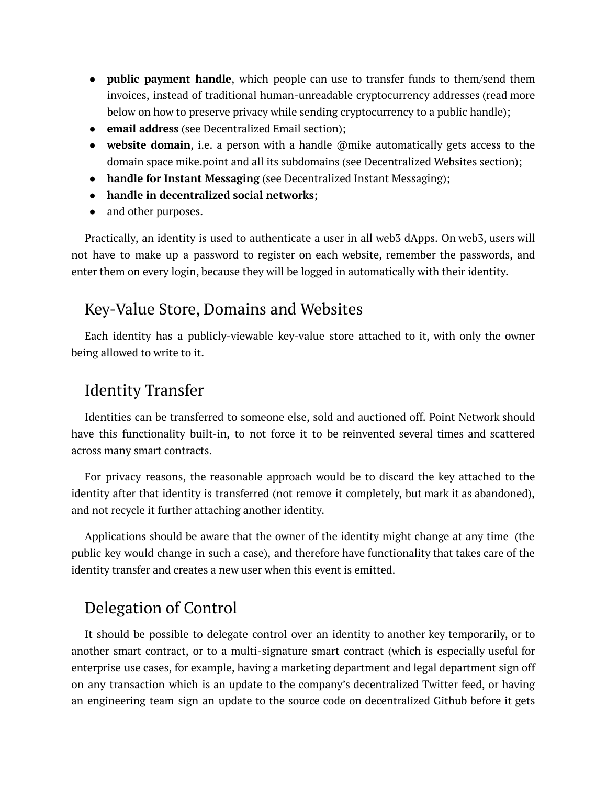- **public payment handle**, which people can use to transfer funds to them/send them invoices, instead of traditional human-unreadable cryptocurrency addresses (read more below on how to preserve privacy while sending cryptocurrency to a public handle);
- **email address** (see Decentralized Email section);
- **website domain**, i.e. a person with a handle @mike automatically gets access to the domain space mike.point and all its subdomains (see Decentralized Websites section);
- **handle for Instant Messaging** (see Decentralized Instant Messaging);
- **handle in decentralized social networks**;
- and other purposes.

Practically, an identity is used to authenticate a user in all web3 dApps. On web3, users will not have to make up a password to register on each website, remember the passwords, and enter them on every login, because they will be logged in automatically with their identity.

## <span id="page-19-0"></span>Key-Value Store, Domains and Websites

Each identity has a publicly-viewable key-value store attached to it, with only the owner being allowed to write to it.

## <span id="page-19-1"></span>Identity Transfer

Identities can be transferred to someone else, sold and auctioned off. Point Network should have this functionality built-in, to not force it to be reinvented several times and scattered across many smart contracts.

For privacy reasons, the reasonable approach would be to discard the key attached to the identity after that identity is transferred (not remove it completely, but mark it as abandoned), and not recycle it further attaching another identity.

Applications should be aware that the owner of the identity might change at any time (the public key would change in such a case), and therefore have functionality that takes care of the identity transfer and creates a new user when this event is emitted.

## <span id="page-19-2"></span>Delegation of Control

It should be possible to delegate control over an identity to another key temporarily, or to another smart contract, or to a multi-signature smart contract (which is especially useful for enterprise use cases, for example, having a marketing department and legal department sign off on any transaction which is an update to the company's decentralized Twitter feed, or having an engineering team sign an update to the source code on decentralized Github before it gets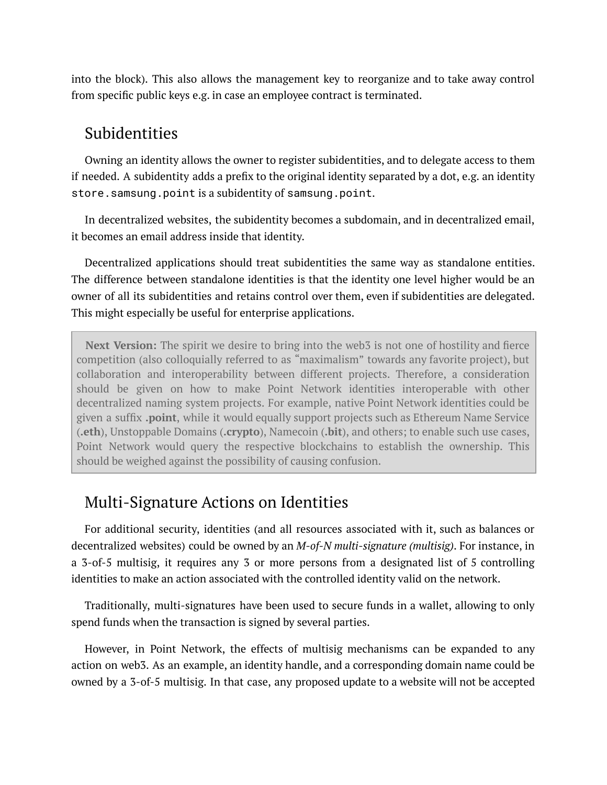into the block). This also allows the management key to reorganize and to take away control from specific public keys e.g. in case an employee contract is terminated.

### <span id="page-20-0"></span>Subidentities

Owning an identity allows the owner to register subidentities, and to delegate access to them if needed. A subidentity adds a prefix to the original identity separated by a dot, e.g. an identity store.samsung.point is a subidentity of samsung.point.

In decentralized websites, the subidentity becomes a subdomain, and in decentralized email, it becomes an email address inside that identity.

Decentralized applications should treat subidentities the same way as standalone entities. The difference between standalone identities is that the identity one level higher would be an owner of all its subidentities and retains control over them, even if subidentities are delegated. This might especially be useful for enterprise applications.

**Next Version:** The spirit we desire to bring into the web3 is not one of hostility and fierce competition (also colloquially referred to as "maximalism" towards any favorite project), but collaboration and interoperability between different projects. Therefore, a consideration should be given on how to make Point Network identities interoperable with other decentralized naming system projects. For example, native Point Network identities could be given a suffix **.point**, while it would equally support projects such as Ethereum Name Service (**.eth**), Unstoppable Domains (**.crypto**), Namecoin (**.bit**), and others; to enable such use cases, Point Network would query the respective blockchains to establish the ownership. This should be weighed against the possibility of causing confusion.

## <span id="page-20-1"></span>Multi-Signature Actions on Identities

For additional security, identities (and all resources associated with it, such as balances or decentralized websites) could be owned by an *M-of-N multi-signature (multisig)*. For instance, in a 3-of-5 multisig, it requires any 3 or more persons from a designated list of 5 controlling identities to make an action associated with the controlled identity valid on the network.

Traditionally, multi-signatures have been used to secure funds in a wallet, allowing to only spend funds when the transaction is signed by several parties.

However, in Point Network, the effects of multisig mechanisms can be expanded to any action on web3. As an example, an identity handle, and a corresponding domain name could be owned by a 3-of-5 multisig. In that case, any proposed update to a website will not be accepted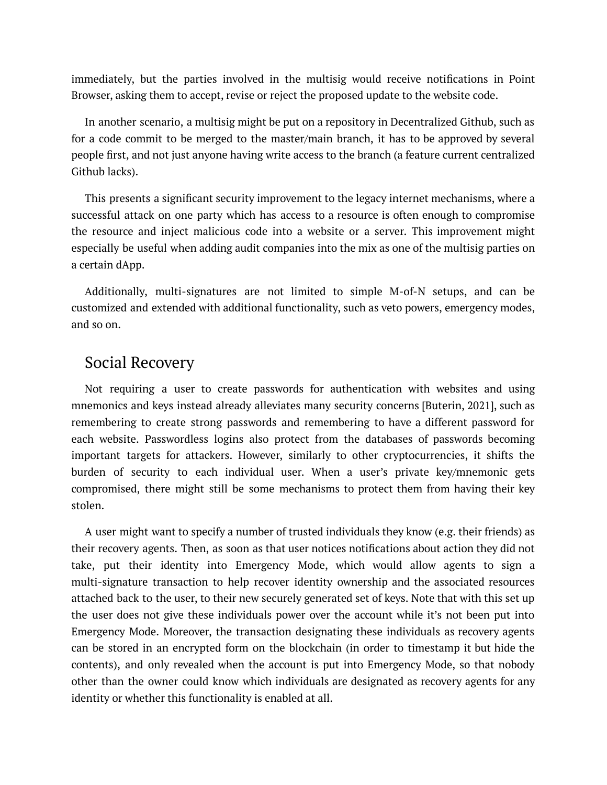immediately, but the parties involved in the multisig would receive notifications in Point Browser, asking them to accept, revise or reject the proposed update to the website code.

In another scenario, a multisig might be put on a repository in Decentralized Github, such as for a code commit to be merged to the master/main branch, it has to be approved by several people first, and not just anyone having write access to the branch (a feature current centralized Github lacks).

This presents a significant security improvement to the legacy internet mechanisms, where a successful attack on one party which has access to a resource is often enough to compromise the resource and inject malicious code into a website or a server. This improvement might especially be useful when adding audit companies into the mix as one of the multisig parties on a certain dApp.

Additionally, multi-signatures are not limited to simple M-of-N setups, and can be customized and extended with additional functionality, such as veto powers, emergency modes, and so on.

### <span id="page-21-0"></span>Social Recovery

Not requiring a user to create passwords for authentication with websites and using mnemonics and keys instead already alleviates many security concerns [Buterin, 2021], such as remembering to create strong passwords and remembering to have a different password for each website. Passwordless logins also protect from the databases of passwords becoming important targets for attackers. However, similarly to other cryptocurrencies, it shifts the burden of security to each individual user. When a user's private key/mnemonic gets compromised, there might still be some mechanisms to protect them from having their key stolen.

A user might want to specify a number of trusted individuals they know (e.g. their friends) as their recovery agents. Then, as soon as that user notices notifications about action they did not take, put their identity into Emergency Mode, which would allow agents to sign a multi-signature transaction to help recover identity ownership and the associated resources attached back to the user, to their new securely generated set of keys. Note that with this set up the user does not give these individuals power over the account while it's not been put into Emergency Mode. Moreover, the transaction designating these individuals as recovery agents can be stored in an encrypted form on the blockchain (in order to timestamp it but hide the contents), and only revealed when the account is put into Emergency Mode, so that nobody other than the owner could know which individuals are designated as recovery agents for any identity or whether this functionality is enabled at all.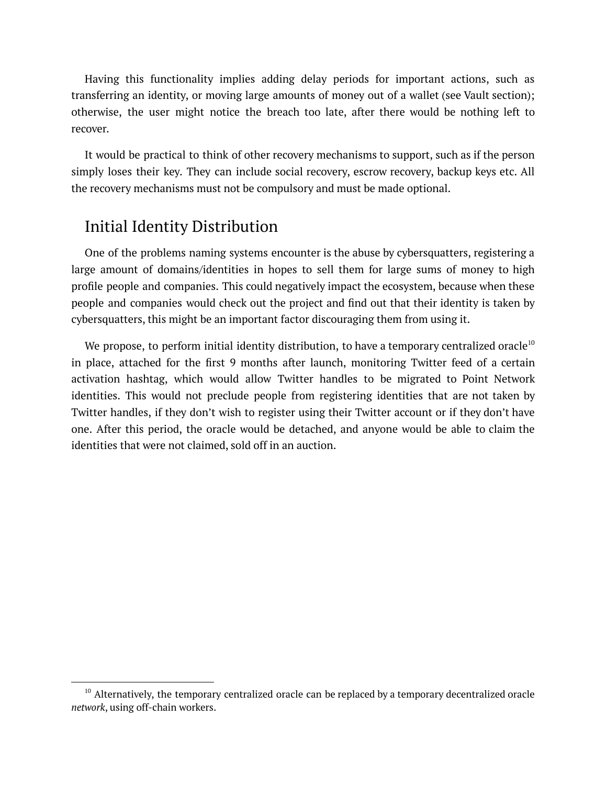Having this functionality implies adding delay periods for important actions, such as transferring an identity, or moving large amounts of money out of a wallet (see Vault section); otherwise, the user might notice the breach too late, after there would be nothing left to recover.

It would be practical to think of other recovery mechanisms to support, such as if the person simply loses their key. They can include social recovery, escrow recovery, backup keys etc. All the recovery mechanisms must not be compulsory and must be made optional.

### <span id="page-22-0"></span>Initial Identity Distribution

One of the problems naming systems encounter is the abuse by cybersquatters, registering a large amount of domains/identities in hopes to sell them for large sums of money to high profile people and companies. This could negatively impact the ecosystem, because when these people and companies would check out the project and find out that their identity is taken by cybersquatters, this might be an important factor discouraging them from using it.

We propose, to perform initial identity distribution, to have a temporary centralized oracle $^{\rm 10}$ in place, attached for the first 9 months after launch, monitoring Twitter feed of a certain activation hashtag, which would allow Twitter handles to be migrated to Point Network identities. This would not preclude people from registering identities that are not taken by Twitter handles, if they don't wish to register using their Twitter account or if they don't have one. After this period, the oracle would be detached, and anyone would be able to claim the identities that were not claimed, sold off in an auction.

 $10$  Alternatively, the temporary centralized oracle can be replaced by a temporary decentralized oracle *network*, using off-chain workers.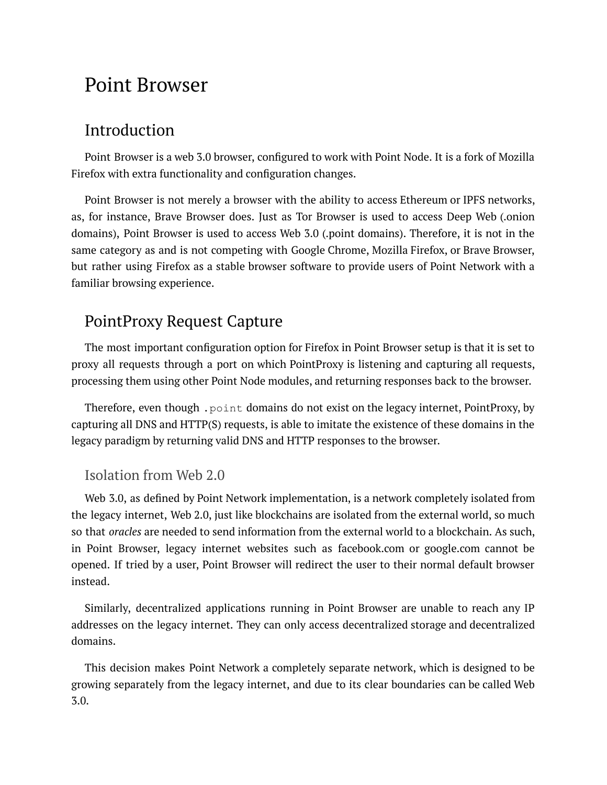## <span id="page-23-0"></span>Point Browser

### <span id="page-23-1"></span>Introduction

Point Browser is a web 3.0 browser, configured to work with Point Node. It is a fork of Mozilla Firefox with extra functionality and configuration changes.

Point Browser is not merely a browser with the ability to access Ethereum or IPFS networks, as, for instance, Brave Browser does. Just as Tor Browser is used to access Deep Web (.onion domains), Point Browser is used to access Web 3.0 (.point domains). Therefore, it is not in the same category as and is not competing with Google Chrome, Mozilla Firefox, or Brave Browser, but rather using Firefox as a stable browser software to provide users of Point Network with a familiar browsing experience.

## <span id="page-23-2"></span>PointProxy Request Capture

The most important configuration option for Firefox in Point Browser setup is that it is set to proxy all requests through a port on which PointProxy is listening and capturing all requests, processing them using other Point Node modules, and returning responses back to the browser.

Therefore, even though .point domains do not exist on the legacy internet, PointProxy, by capturing all DNS and HTTP(S) requests, is able to imitate the existence of these domains in the legacy paradigm by returning valid DNS and HTTP responses to the browser.

#### <span id="page-23-3"></span>Isolation from Web 2.0

Web 3.0, as defined by Point Network implementation, is a network completely isolated from the legacy internet, Web 2.0, just like blockchains are isolated from the external world, so much so that *oracles* are needed to send information from the external world to a blockchain. As such, in Point Browser, legacy internet websites such as facebook.com or google.com cannot be opened. If tried by a user, Point Browser will redirect the user to their normal default browser instead.

Similarly, decentralized applications running in Point Browser are unable to reach any IP addresses on the legacy internet. They can only access decentralized storage and decentralized domains.

This decision makes Point Network a completely separate network, which is designed to be growing separately from the legacy internet, and due to its clear boundaries can be called Web 3.0.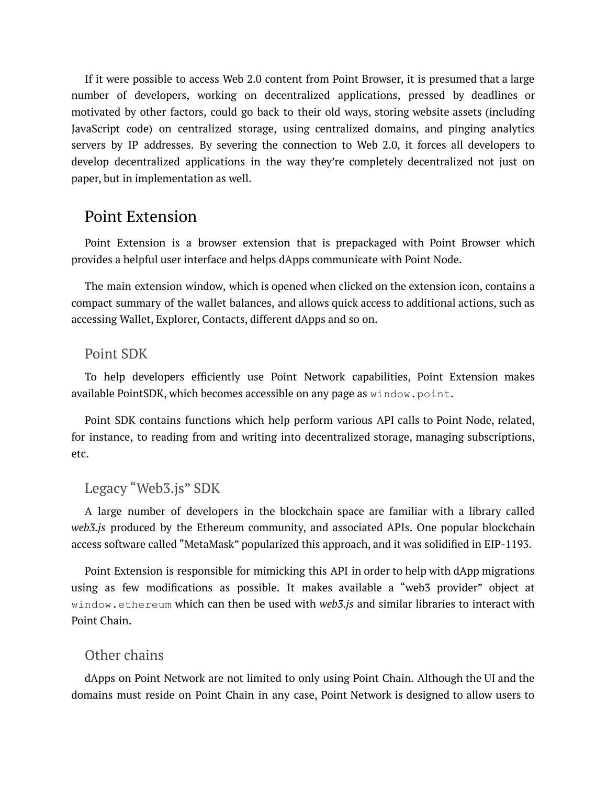If it were possible to access Web 2.0 content from Point Browser, it is presumed that a large number of developers, working on decentralized applications, pressed by deadlines or motivated by other factors, could go back to their old ways, storing website assets (including JavaScript code) on centralized storage, using centralized domains, and pinging analytics servers by IP addresses. By severing the connection to Web 2.0, it forces all developers to develop decentralized applications in the way they're completely decentralized not just on paper, but in implementation as well.

#### <span id="page-24-0"></span>Point Extension

Point Extension is a browser extension that is prepackaged with Point Browser which provides a helpful user interface and helps dApps communicate with Point Node.

The main extension window, which is opened when clicked on the extension icon, contains a compact summary of the wallet balances, and allows quick access to additional actions, such as accessing Wallet, Explorer, Contacts, different dApps and so on.

#### <span id="page-24-1"></span>Point SDK

To help developers efficiently use Point Network capabilities, Point Extension makes available PointSDK, which becomes accessible on any page as window.point.

Point SDK contains functions which help perform various API calls to Point Node, related, for instance, to reading from and writing into decentralized storage, managing subscriptions, etc.

#### <span id="page-24-2"></span>Legacy "Web3.js" SDK

A large number of developers in the blockchain space are familiar with a library called *web3.js* produced by the Ethereum community, and associated APIs. One popular blockchain access software called "MetaMask" popularized this approach, and it was solidified in EIP-1193.

Point Extension is responsible for mimicking this API in order to help with dApp migrations using as few modifications as possible. It makes available a "web3 provider" object at window.ethereum which can then be used with *web3.js* and similar libraries to interact with Point Chain.

#### <span id="page-24-3"></span>Other chains

dApps on Point Network are not limited to only using Point Chain. Although the UI and the domains must reside on Point Chain in any case, Point Network is designed to allow users to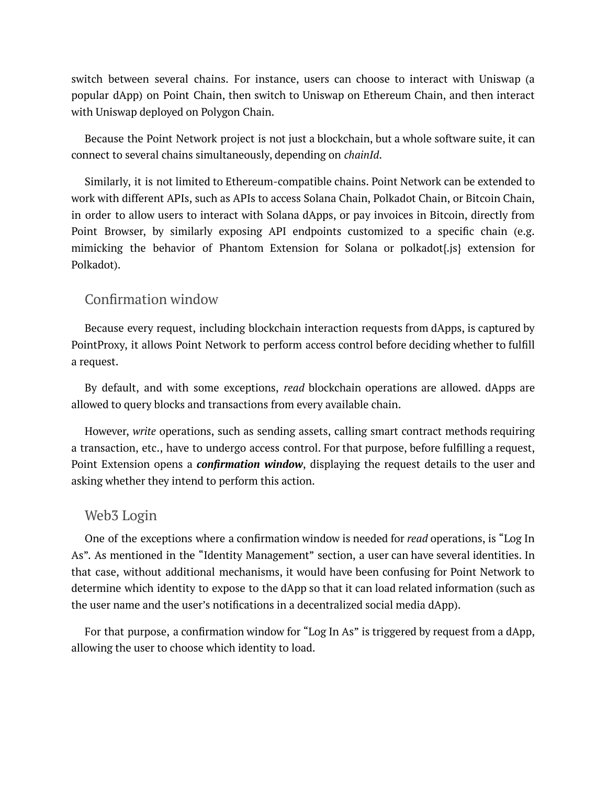switch between several chains. For instance, users can choose to interact with Uniswap (a popular dApp) on Point Chain, then switch to Uniswap on Ethereum Chain, and then interact with Uniswap deployed on Polygon Chain.

Because the Point Network project is not just a blockchain, but a whole software suite, it can connect to several chains simultaneously, depending on *chainId*.

Similarly, it is not limited to Ethereum-compatible chains. Point Network can be extended to work with different APIs, such as APIs to access Solana Chain, Polkadot Chain, or Bitcoin Chain, in order to allow users to interact with Solana dApps, or pay invoices in Bitcoin, directly from Point Browser, by similarly exposing API endpoints customized to a specific chain (e.g. mimicking the behavior of Phantom Extension for Solana or polkadot{.js} extension for Polkadot).

#### <span id="page-25-0"></span>Confirmation window

Because every request, including blockchain interaction requests from dApps, is captured by PointProxy, it allows Point Network to perform access control before deciding whether to fulfill a request.

By default, and with some exceptions, *read* blockchain operations are allowed. dApps are allowed to query blocks and transactions from every available chain.

However, *write* operations, such as sending assets, calling smart contract methods requiring a transaction, etc., have to undergo access control. For that purpose, before fulfilling a request, Point Extension opens a *confirmation window*, displaying the request details to the user and asking whether they intend to perform this action.

#### <span id="page-25-1"></span>Web3 Login

One of the exceptions where a confirmation window is needed for *read* operations, is "Log In As". As mentioned in the "Identity Management" section, a user can have several identities. In that case, without additional mechanisms, it would have been confusing for Point Network to determine which identity to expose to the dApp so that it can load related information (such as the user name and the user's notifications in a decentralized social media dApp).

For that purpose, a confirmation window for "Log In As" is triggered by request from a dApp, allowing the user to choose which identity to load.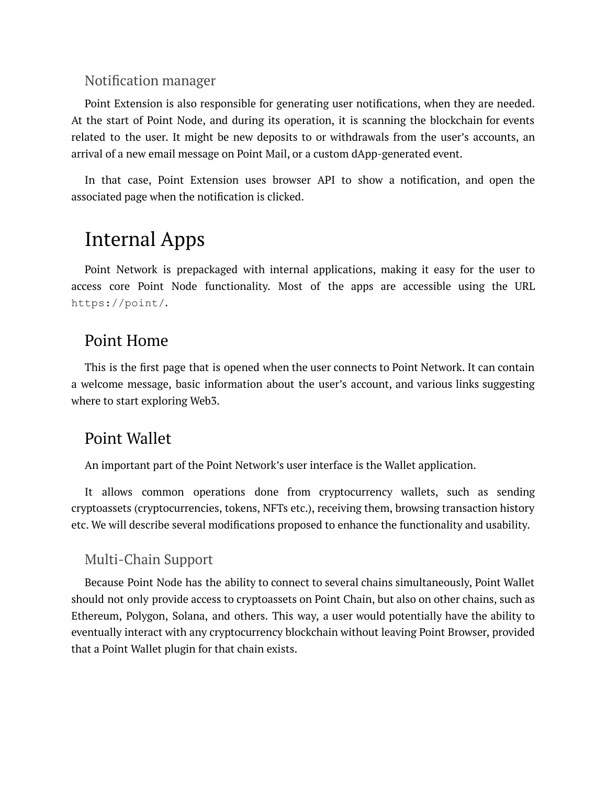#### <span id="page-26-0"></span>Notification manager

Point Extension is also responsible for generating user notifications, when they are needed. At the start of Point Node, and during its operation, it is scanning the blockchain for events related to the user. It might be new deposits to or withdrawals from the user's accounts, an arrival of a new email message on Point Mail, or a custom dApp-generated event.

In that case, Point Extension uses browser API to show a notification, and open the associated page when the notification is clicked.

## <span id="page-26-1"></span>Internal Apps

Point Network is prepackaged with internal applications, making it easy for the user to access core Point Node functionality. Most of the apps are accessible using the URL https://point/.

## <span id="page-26-2"></span>Point Home

This is the first page that is opened when the user connects to Point Network. It can contain a welcome message, basic information about the user's account, and various links suggesting where to start exploring Web3.

### <span id="page-26-3"></span>Point Wallet

An important part of the Point Network's user interface is the Wallet application.

It allows common operations done from cryptocurrency wallets, such as sending cryptoassets (cryptocurrencies, tokens, NFTs etc.), receiving them, browsing transaction history etc. We will describe several modifications proposed to enhance the functionality and usability.

#### <span id="page-26-4"></span>Multi-Chain Support

Because Point Node has the ability to connect to several chains simultaneously, Point Wallet should not only provide access to cryptoassets on Point Chain, but also on other chains, such as Ethereum, Polygon, Solana, and others. This way, a user would potentially have the ability to eventually interact with any cryptocurrency blockchain without leaving Point Browser, provided that a Point Wallet plugin for that chain exists.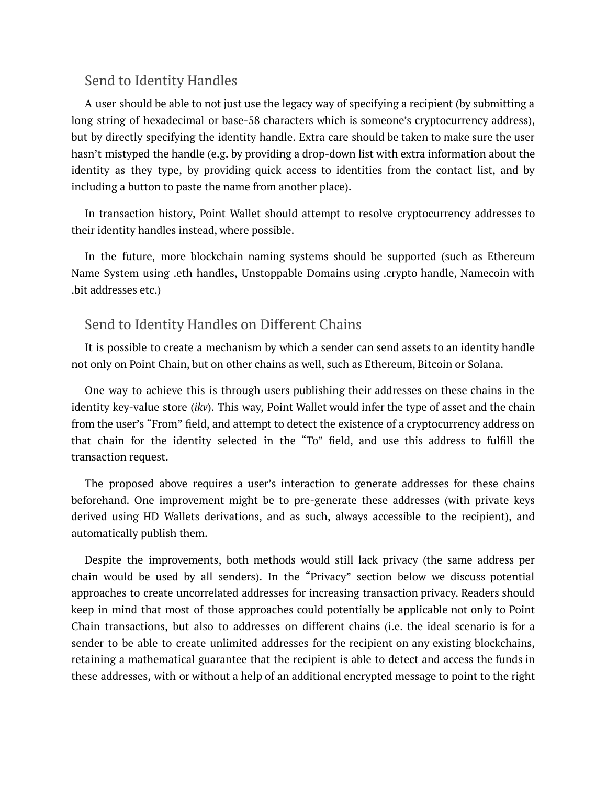#### <span id="page-27-0"></span>Send to Identity Handles

A user should be able to not just use the legacy way of specifying a recipient (by submitting a long string of hexadecimal or base-58 characters which is someone's cryptocurrency address), but by directly specifying the identity handle. Extra care should be taken to make sure the user hasn't mistyped the handle (e.g. by providing a drop-down list with extra information about the identity as they type, by providing quick access to identities from the contact list, and by including a button to paste the name from another place).

In transaction history, Point Wallet should attempt to resolve cryptocurrency addresses to their identity handles instead, where possible.

In the future, more blockchain naming systems should be supported (such as Ethereum Name System using .eth handles, Unstoppable Domains using .crypto handle, Namecoin with .bit addresses etc.)

#### <span id="page-27-1"></span>Send to Identity Handles on Different Chains

It is possible to create a mechanism by which a sender can send assets to an identity handle not only on Point Chain, but on other chains as well, such as Ethereum, Bitcoin or Solana.

One way to achieve this is through users publishing their addresses on these chains in the identity key-value store (*ikv*). This way, Point Wallet would infer the type of asset and the chain from the user's "From" field, and attempt to detect the existence of a cryptocurrency address on that chain for the identity selected in the "To" field, and use this address to fulfill the transaction request.

The proposed above requires a user's interaction to generate addresses for these chains beforehand. One improvement might be to pre-generate these addresses (with private keys derived using HD Wallets derivations, and as such, always accessible to the recipient), and automatically publish them.

Despite the improvements, both methods would still lack privacy (the same address per chain would be used by all senders). In the "Privacy" section below we discuss potential approaches to create uncorrelated addresses for increasing transaction privacy. Readers should keep in mind that most of those approaches could potentially be applicable not only to Point Chain transactions, but also to addresses on different chains (i.e. the ideal scenario is for a sender to be able to create unlimited addresses for the recipient on any existing blockchains, retaining a mathematical guarantee that the recipient is able to detect and access the funds in these addresses, with or without a help of an additional encrypted message to point to the right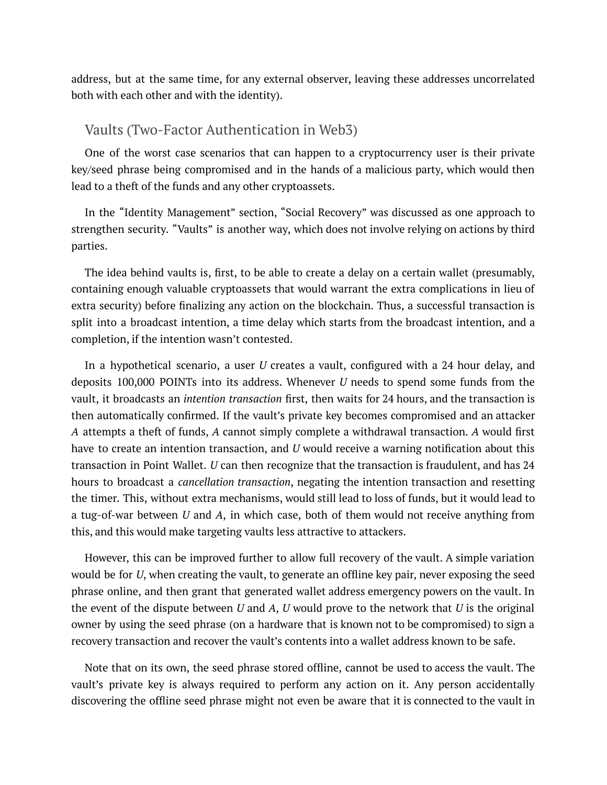address, but at the same time, for any external observer, leaving these addresses uncorrelated both with each other and with the identity).

#### <span id="page-28-0"></span>Vaults (Two-Factor Authentication in Web3)

One of the worst case scenarios that can happen to a cryptocurrency user is their private key/seed phrase being compromised and in the hands of a malicious party, which would then lead to a theft of the funds and any other cryptoassets.

In the "Identity Management" section, "Social Recovery" was discussed as one approach to strengthen security. "Vaults" is another way, which does not involve relying on actions by third parties.

The idea behind vaults is, first, to be able to create a delay on a certain wallet (presumably, containing enough valuable cryptoassets that would warrant the extra complications in lieu of extra security) before finalizing any action on the blockchain. Thus, a successful transaction is split into a broadcast intention, a time delay which starts from the broadcast intention, and a completion, if the intention wasn't contested.

In a hypothetical scenario, a user *U* creates a vault, configured with a 24 hour delay, and deposits 100,000 POINTs into its address. Whenever *U* needs to spend some funds from the vault, it broadcasts an *intention transaction* first, then waits for 24 hours, and the transaction is then automatically confirmed. If the vault's private key becomes compromised and an attacker *A* attempts a theft of funds, *A* cannot simply complete a withdrawal transaction. *A* would first have to create an intention transaction, and *U* would receive a warning notification about this transaction in Point Wallet. *U* can then recognize that the transaction is fraudulent, and has 24 hours to broadcast a *cancellation transaction*, negating the intention transaction and resetting the timer. This, without extra mechanisms, would still lead to loss of funds, but it would lead to a tug-of-war between *U* and *A*, in which case, both of them would not receive anything from this, and this would make targeting vaults less attractive to attackers.

However, this can be improved further to allow full recovery of the vault. A simple variation would be for *U*, when creating the vault, to generate an offline key pair, never exposing the seed phrase online, and then grant that generated wallet address emergency powers on the vault. In the event of the dispute between *U* and *A*, *U* would prove to the network that *U* is the original owner by using the seed phrase (on a hardware that is known not to be compromised) to sign a recovery transaction and recover the vault's contents into a wallet address known to be safe.

Note that on its own, the seed phrase stored offline, cannot be used to access the vault. The vault's private key is always required to perform any action on it. Any person accidentally discovering the offline seed phrase might not even be aware that it is connected to the vault in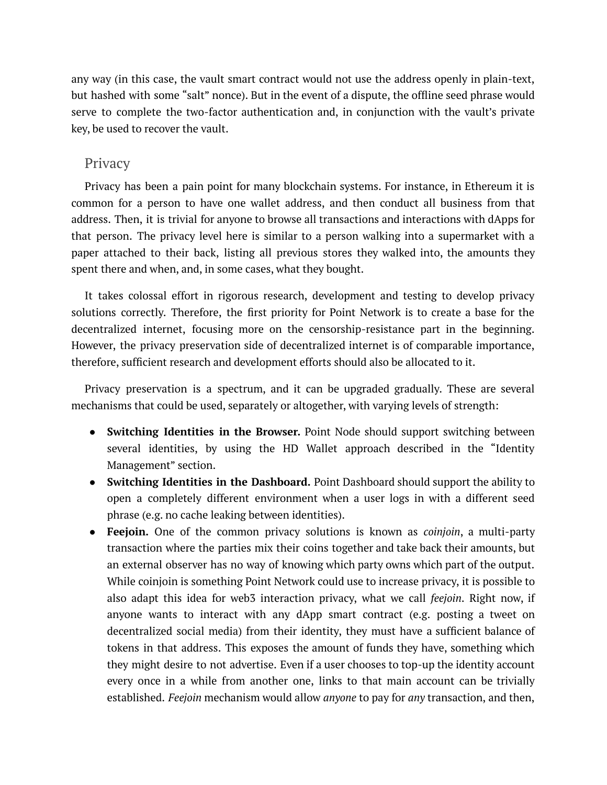any way (in this case, the vault smart contract would not use the address openly in plain-text, but hashed with some "salt" nonce). But in the event of a dispute, the offline seed phrase would serve to complete the two-factor authentication and, in conjunction with the vault's private key, be used to recover the vault.

#### <span id="page-29-0"></span>**Privacy**

Privacy has been a pain point for many blockchain systems. For instance, in Ethereum it is common for a person to have one wallet address, and then conduct all business from that address. Then, it is trivial for anyone to browse all transactions and interactions with dApps for that person. The privacy level here is similar to a person walking into a supermarket with a paper attached to their back, listing all previous stores they walked into, the amounts they spent there and when, and, in some cases, what they bought.

It takes colossal effort in rigorous research, development and testing to develop privacy solutions correctly. Therefore, the first priority for Point Network is to create a base for the decentralized internet, focusing more on the censorship-resistance part in the beginning. However, the privacy preservation side of decentralized internet is of comparable importance, therefore, sufficient research and development efforts should also be allocated to it.

Privacy preservation is a spectrum, and it can be upgraded gradually. These are several mechanisms that could be used, separately or altogether, with varying levels of strength:

- **Switching Identities in the Browser.** Point Node should support switching between several identities, by using the HD Wallet approach described in the "Identity Management" section.
- **Switching Identities in the Dashboard.** Point Dashboard should support the ability to open a completely different environment when a user logs in with a different seed phrase (e.g. no cache leaking between identities).
- **Feejoin.** One of the common privacy solutions is known as *coinjoin*, a multi-party transaction where the parties mix their coins together and take back their amounts, but an external observer has no way of knowing which party owns which part of the output. While coinjoin is something Point Network could use to increase privacy, it is possible to also adapt this idea for web3 interaction privacy, what we call *feejoin*. Right now, if anyone wants to interact with any dApp smart contract (e.g. posting a tweet on decentralized social media) from their identity, they must have a sufficient balance of tokens in that address. This exposes the amount of funds they have, something which they might desire to not advertise. Even if a user chooses to top-up the identity account every once in a while from another one, links to that main account can be trivially established. *Feejoin* mechanism would allow *anyone* to pay for *any* transaction, and then,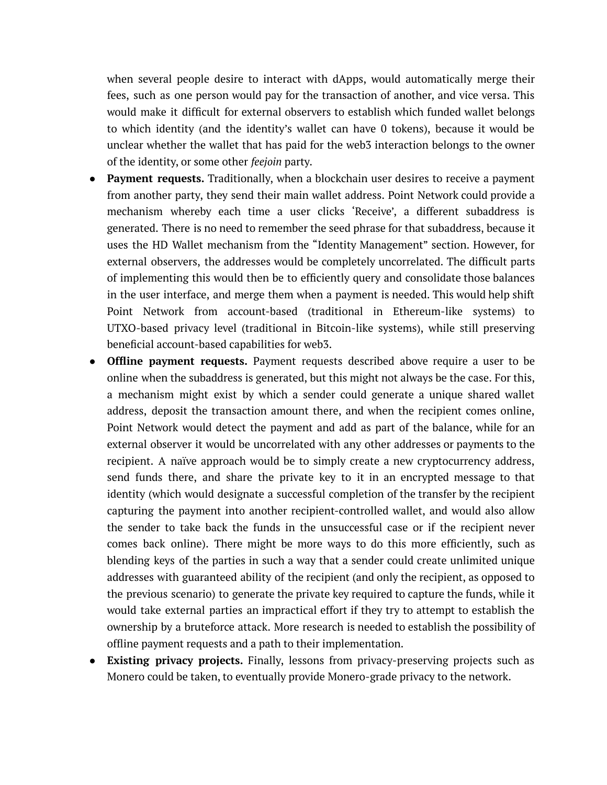when several people desire to interact with dApps, would automatically merge their fees, such as one person would pay for the transaction of another, and vice versa. This would make it difficult for external observers to establish which funded wallet belongs to which identity (and the identity's wallet can have 0 tokens), because it would be unclear whether the wallet that has paid for the web3 interaction belongs to the owner of the identity, or some other *feejoin* party.

- **Payment requests.** Traditionally, when a blockchain user desires to receive a payment from another party, they send their main wallet address. Point Network could provide a mechanism whereby each time a user clicks 'Receive', a different subaddress is generated. There is no need to remember the seed phrase for that subaddress, because it uses the HD Wallet mechanism from the "Identity Management" section. However, for external observers, the addresses would be completely uncorrelated. The difficult parts of implementing this would then be to efficiently query and consolidate those balances in the user interface, and merge them when a payment is needed. This would help shift Point Network from account-based (traditional in Ethereum-like systems) to UTXO-based privacy level (traditional in Bitcoin-like systems), while still preserving beneficial account-based capabilities for web3.
- **Offline payment requests.** Payment requests described above require a user to be online when the subaddress is generated, but this might not always be the case. For this, a mechanism might exist by which a sender could generate a unique shared wallet address, deposit the transaction amount there, and when the recipient comes online, Point Network would detect the payment and add as part of the balance, while for an external observer it would be uncorrelated with any other addresses or payments to the recipient. A naïve approach would be to simply create a new cryptocurrency address, send funds there, and share the private key to it in an encrypted message to that identity (which would designate a successful completion of the transfer by the recipient capturing the payment into another recipient-controlled wallet, and would also allow the sender to take back the funds in the unsuccessful case or if the recipient never comes back online). There might be more ways to do this more efficiently, such as blending keys of the parties in such a way that a sender could create unlimited unique addresses with guaranteed ability of the recipient (and only the recipient, as opposed to the previous scenario) to generate the private key required to capture the funds, while it would take external parties an impractical effort if they try to attempt to establish the ownership by a bruteforce attack. More research is needed to establish the possibility of offline payment requests and a path to their implementation.
- **Existing privacy projects.** Finally, lessons from privacy-preserving projects such as Monero could be taken, to eventually provide Monero-grade privacy to the network.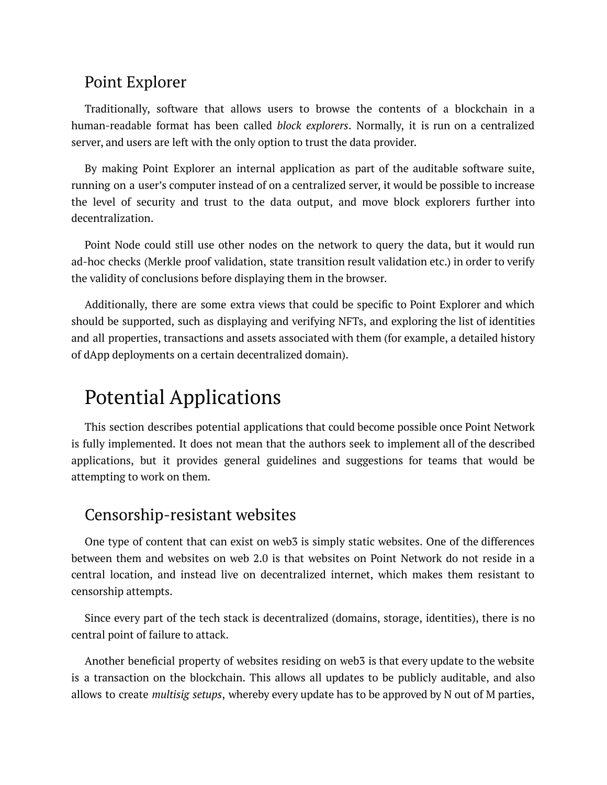### <span id="page-31-0"></span>Point Explorer

Traditionally, software that allows users to browse the contents of a blockchain in a human-readable format has been called *block explorers*. Normally, it is run on a centralized server, and users are left with the only option to trust the data provider.

By making Point Explorer an internal application as part of the auditable software suite, running on a user's computer instead of on a centralized server, it would be possible to increase the level of security and trust to the data output, and move block explorers further into decentralization.

Point Node could still use other nodes on the network to query the data, but it would run ad-hoc checks (Merkle proof validation, state transition result validation etc.) in order to verify the validity of conclusions before displaying them in the browser.

Additionally, there are some extra views that could be specific to Point Explorer and which should be supported, such as displaying and verifying NFTs, and exploring the list of identities and all properties, transactions and assets associated with them (for example, a detailed history of dApp deployments on a certain decentralized domain).

## <span id="page-31-1"></span>Potential Applications

This section describes potential applications that could become possible once Point Network is fully implemented. It does not mean that the authors seek to implement all of the described applications, but it provides general guidelines and suggestions for teams that would be attempting to work on them.

### <span id="page-31-2"></span>Censorship-resistant websites

One type of content that can exist on web3 is simply static websites. One of the differences between them and websites on web 2.0 is that websites on Point Network do not reside in a central location, and instead live on decentralized internet, which makes them resistant to censorship attempts.

Since every part of the tech stack is decentralized (domains, storage, identities), there is no central point of failure to attack.

Another beneficial property of websites residing on web3 is that every update to the website is a transaction on the blockchain. This allows all updates to be publicly auditable, and also allows to create *multisig setups*, whereby every update has to be approved by N out of M parties,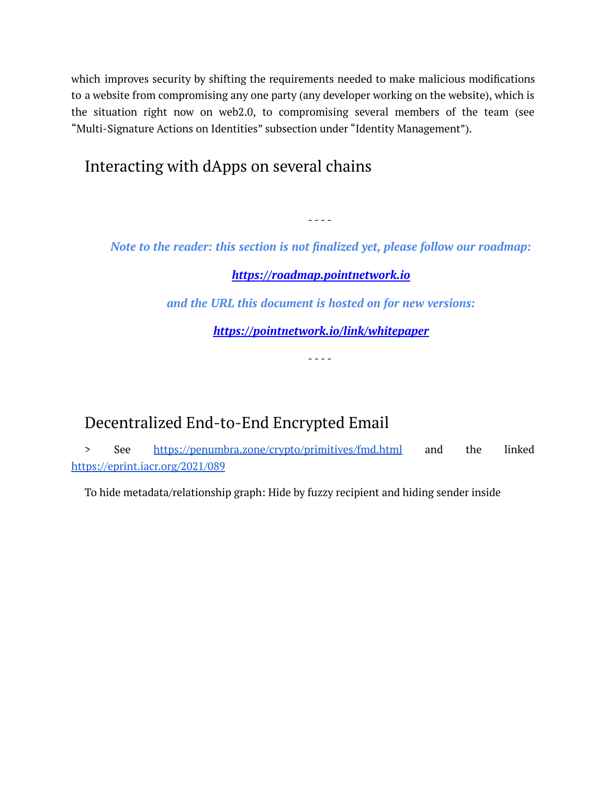which improves security by shifting the requirements needed to make malicious modifications to a website from compromising any one party (any developer working on the website), which is the situation right now on web2.0, to compromising several members of the team (see "Multi-Signature Actions on Identities" subsection under "Identity Management").

## <span id="page-32-1"></span>Interacting with dApps on several chains

*Note to the reader: this section is not finalized yet, please follow our roadmap:*

- - - -

#### *<https://roadmap.pointnetwork.io>*

*and the URL this document is hosted on for new versions:*

*<https://pointnetwork.io/link/whitepaper>*

- - - -

## <span id="page-32-0"></span>Decentralized End-to-End Encrypted Email

> See <https://penumbra.zone/crypto/primitives/fmd.html> and the linked <https://eprint.iacr.org/2021/089>

To hide metadata/relationship graph: Hide by fuzzy recipient and hiding sender inside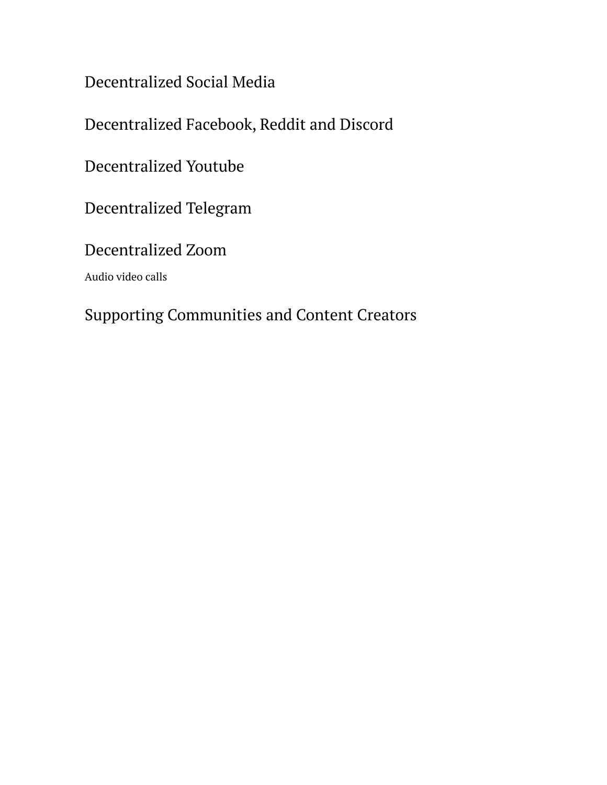<span id="page-33-0"></span>Decentralized Social Media

<span id="page-33-1"></span>Decentralized Facebook, Reddit and Discord

<span id="page-33-2"></span>Decentralized Youtube

<span id="page-33-3"></span>Decentralized Telegram

<span id="page-33-4"></span>Decentralized Zoom

Audio video calls

## <span id="page-33-5"></span>Supporting Communities and Content Creators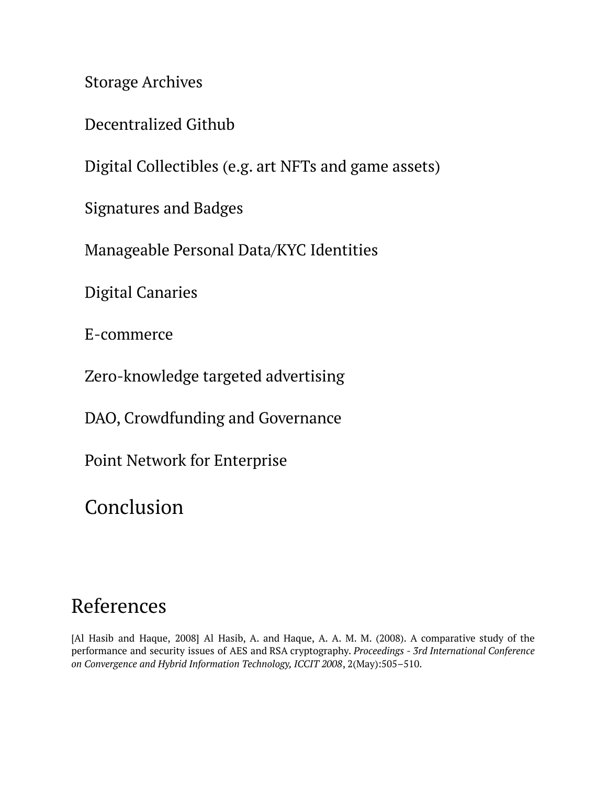<span id="page-34-0"></span>Storage Archives

<span id="page-34-1"></span>Decentralized Github

<span id="page-34-2"></span>Digital Collectibles (e.g. art NFTs and game assets)

<span id="page-34-3"></span>Signatures and Badges

<span id="page-34-4"></span>Manageable Personal Data/KYC Identities

<span id="page-34-5"></span>Digital Canaries

<span id="page-34-6"></span>E-commerce

<span id="page-34-7"></span>Zero-knowledge targeted advertising

<span id="page-34-8"></span>DAO, Crowdfunding and Governance

<span id="page-34-9"></span>Point Network for Enterprise

<span id="page-34-10"></span>Conclusion

## <span id="page-34-11"></span>References

[Al Hasib and Haque, 2008] Al Hasib, A. and Haque, A. A. M. M. (2008). A comparative study of the performance and security issues of AES and RSA cryptography. *Proceedings - 3rd International Conference on Convergence and Hybrid Information Technology, ICCIT 2008*, 2(May):505–510.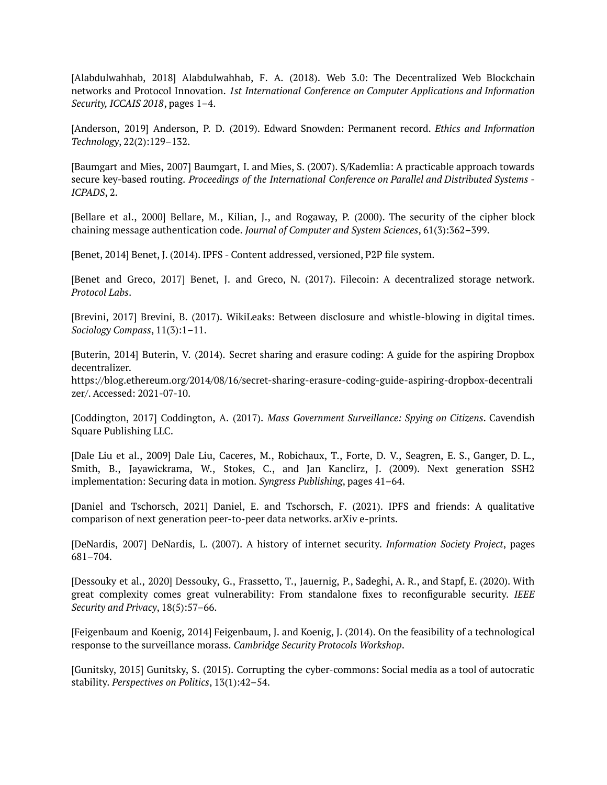[Alabdulwahhab, 2018] Alabdulwahhab, F. A. (2018). Web 3.0: The Decentralized Web Blockchain networks and Protocol Innovation. *1st International Conference on Computer Applications and Information Security, ICCAIS 2018*, pages 1–4.

[Anderson, 2019] Anderson, P. D. (2019). Edward Snowden: Permanent record. *Ethics and Information Technology*, 22(2):129–132.

[Baumgart and Mies, 2007] Baumgart, I. and Mies, S. (2007). S/Kademlia: A practicable approach towards secure key-based routing. *Proceedings of the International Conference on Parallel and Distributed Systems - ICPADS*, 2.

[Bellare et al., 2000] Bellare, M., Kilian, J., and Rogaway, P. (2000). The security of the cipher block chaining message authentication code. *Journal of Computer and System Sciences*, 61(3):362–399.

[Benet, 2014] Benet, J. (2014). IPFS - Content addressed, versioned, P2P file system.

[Benet and Greco, 2017] Benet, J. and Greco, N. (2017). Filecoin: A decentralized storage network. *Protocol Labs*.

[Brevini, 2017] Brevini, B. (2017). WikiLeaks: Between disclosure and whistle-blowing in digital times. *Sociology Compass*, 11(3):1–11.

[Buterin, 2014] Buterin, V. (2014). Secret sharing and erasure coding: A guide for the aspiring Dropbox decentralizer.

https://blog.ethereum.org/2014/08/16/secret-sharing-erasure-coding-guide-aspiring-dropbox-decentrali zer/. Accessed: 2021-07-10.

[Coddington, 2017] Coddington, A. (2017). *Mass Government Surveillance: Spying on Citizens*. Cavendish Square Publishing LLC.

[Dale Liu et al., 2009] Dale Liu, Caceres, M., Robichaux, T., Forte, D. V., Seagren, E. S., Ganger, D. L., Smith, B., Jayawickrama, W., Stokes, C., and Jan Kanclirz, J. (2009). Next generation SSH2 implementation: Securing data in motion. *Syngress Publishing*, pages 41–64.

[Daniel and Tschorsch, 2021] Daniel, E. and Tschorsch, F. (2021). IPFS and friends: A qualitative comparison of next generation peer-to-peer data networks. arXiv e-prints.

[DeNardis, 2007] DeNardis, L. (2007). A history of internet security. *Information Society Project*, pages 681–704.

[Dessouky et al., 2020] Dessouky, G., Frassetto, T., Jauernig, P., Sadeghi, A. R., and Stapf, E. (2020). With great complexity comes great vulnerability: From standalone fixes to reconfigurable security. *IEEE Security and Privacy*, 18(5):57–66.

[Feigenbaum and Koenig, 2014] Feigenbaum, J. and Koenig, J. (2014). On the feasibility of a technological response to the surveillance morass. *Cambridge Security Protocols Workshop*.

[Gunitsky, 2015] Gunitsky, S. (2015). Corrupting the cyber-commons: Social media as a tool of autocratic stability. *Perspectives on Politics*, 13(1):42–54.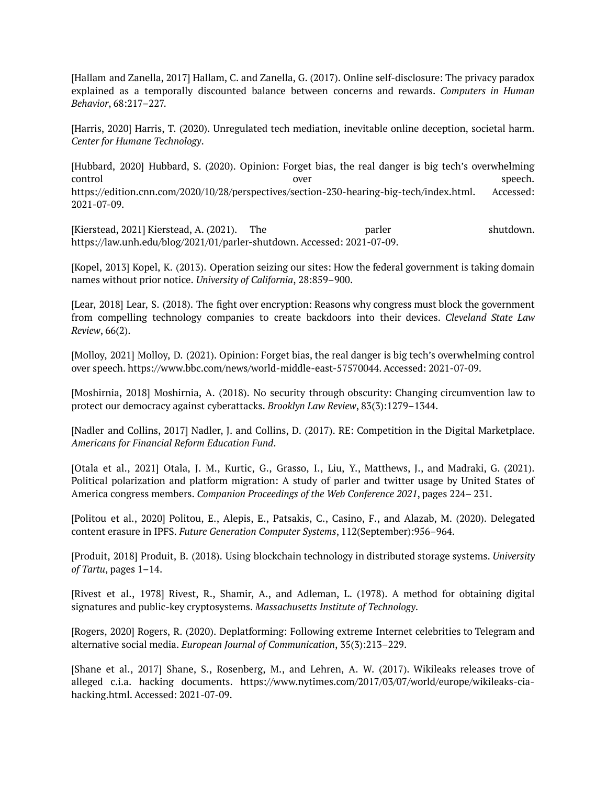[Hallam and Zanella, 2017] Hallam, C. and Zanella, G. (2017). Online self-disclosure: The privacy paradox explained as a temporally discounted balance between concerns and rewards. *Computers in Human Behavior*, 68:217–227.

[Harris, 2020] Harris, T. (2020). Unregulated tech mediation, inevitable online deception, societal harm. *Center for Humane Technology*.

[Hubbard, 2020] Hubbard, S. (2020). Opinion: Forget bias, the real danger is big tech's overwhelming control over speech. https://edition.cnn.com/2020/10/28/perspectives/section-230-hearing-big-tech/index.html. Accessed: 2021-07-09.

[Kierstead, 2021] Kierstead, A. (2021). The parler shutdown. https://law.unh.edu/blog/2021/01/parler-shutdown. Accessed: 2021-07-09.

[Kopel, 2013] Kopel, K. (2013). Operation seizing our sites: How the federal government is taking domain names without prior notice. *University of California*, 28:859–900.

[Lear, 2018] Lear, S. (2018). The fight over encryption: Reasons why congress must block the government from compelling technology companies to create backdoors into their devices. *Cleveland State Law Review*, 66(2).

[Molloy, 2021] Molloy, D. (2021). Opinion: Forget bias, the real danger is big tech's overwhelming control over speech. https://www.bbc.com/news/world-middle-east-57570044. Accessed: 2021-07-09.

[Moshirnia, 2018] Moshirnia, A. (2018). No security through obscurity: Changing circumvention law to protect our democracy against cyberattacks. *Brooklyn Law Review*, 83(3):1279–1344.

[Nadler and Collins, 2017] Nadler, J. and Collins, D. (2017). RE: Competition in the Digital Marketplace. *Americans for Financial Reform Education Fund*.

[Otala et al., 2021] Otala, J. M., Kurtic, G., Grasso, I., Liu, Y., Matthews, J., and Madraki, G. (2021). Political polarization and platform migration: A study of parler and twitter usage by United States of America congress members. *Companion Proceedings of the Web Conference 2021*, pages 224– 231.

[Politou et al., 2020] Politou, E., Alepis, E., Patsakis, C., Casino, F., and Alazab, M. (2020). Delegated content erasure in IPFS. *Future Generation Computer Systems*, 112(September):956–964.

[Produit, 2018] Produit, B. (2018). Using blockchain technology in distributed storage systems. *University of Tartu*, pages 1–14.

[Rivest et al., 1978] Rivest, R., Shamir, A., and Adleman, L. (1978). A method for obtaining digital signatures and public-key cryptosystems. *Massachusetts Institute of Technology*.

[Rogers, 2020] Rogers, R. (2020). Deplatforming: Following extreme Internet celebrities to Telegram and alternative social media. *European Journal of Communication*, 35(3):213–229.

[Shane et al., 2017] Shane, S., Rosenberg, M., and Lehren, A. W. (2017). Wikileaks releases trove of alleged c.i.a. hacking documents. https://www.nytimes.com/2017/03/07/world/europe/wikileaks-ciahacking.html. Accessed: 2021-07-09.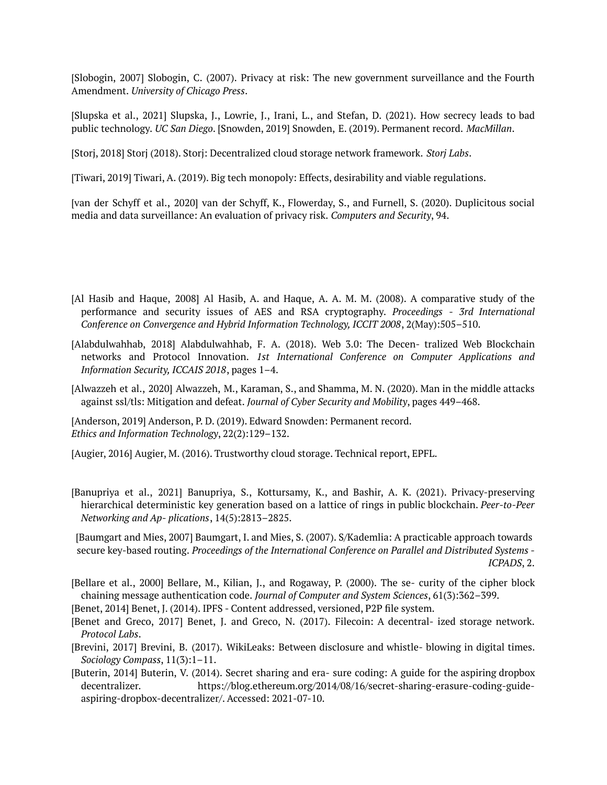[Slobogin, 2007] Slobogin, C. (2007). Privacy at risk: The new government surveillance and the Fourth Amendment. *University of Chicago Press*.

[Slupska et al., 2021] Slupska, J., Lowrie, J., Irani, L., and Stefan, D. (2021). How secrecy leads to bad public technology. *UC San Diego*. [Snowden, 2019] Snowden, E. (2019). Permanent record. *MacMillan*.

[Storj, 2018] Storj (2018). Storj: Decentralized cloud storage network framework. *Storj Labs*.

[Tiwari, 2019] Tiwari, A. (2019). Big tech monopoly: Effects, desirability and viable regulations.

[van der Schyff et al., 2020] van der Schyff, K., Flowerday, S., and Furnell, S. (2020). Duplicitous social media and data surveillance: An evaluation of privacy risk. *Computers and Security*, 94.

- [Al Hasib and Haque, 2008] Al Hasib, A. and Haque, A. A. M. M. (2008). A comparative study of the performance and security issues of AES and RSA cryptography. *Proceedings - 3rd International Conference on Convergence and Hybrid Information Technology, ICCIT 2008*, 2(May):505–510.
- [Alabdulwahhab, 2018] Alabdulwahhab, F. A. (2018). Web 3.0: The Decen- tralized Web Blockchain networks and Protocol Innovation. *1st International Conference on Computer Applications and Information Security, ICCAIS 2018*, pages 1–4.
- [Alwazzeh et al., 2020] Alwazzeh, M., Karaman, S., and Shamma, M. N. (2020). Man in the middle attacks against ssl/tls: Mitigation and defeat. *Journal of Cyber Security and Mobility*, pages 449–468.

[Anderson, 2019] Anderson, P. D. (2019). Edward Snowden: Permanent record. *Ethics and Information Technology*, 22(2):129–132.

[Augier, 2016] Augier, M. (2016). Trustworthy cloud storage. Technical report, EPFL.

[Banupriya et al., 2021] Banupriya, S., Kottursamy, K., and Bashir, A. K. (2021). Privacy-preserving hierarchical deterministic key generation based on a lattice of rings in public blockchain. *Peer-to-Peer Networking and Ap- plications*, 14(5):2813–2825.

[Baumgart and Mies, 2007] Baumgart, I. and Mies, S. (2007). S/Kademlia: A practicable approach towards secure key-based routing. *Proceedings of the International Conference on Parallel and Distributed Systems - ICPADS*, 2.

[Bellare et al., 2000] Bellare, M., Kilian, J., and Rogaway, P. (2000). The se- curity of the cipher block chaining message authentication code. *Journal of Computer and System Sciences*, 61(3):362–399.

[Benet, 2014] Benet, J. (2014). IPFS - Content addressed, versioned, P2P file system.

- [Benet and Greco, 2017] Benet, J. and Greco, N. (2017). Filecoin: A decentral- ized storage network. *Protocol Labs*.
- [Brevini, 2017] Brevini, B. (2017). WikiLeaks: Between disclosure and whistle- blowing in digital times. *Sociology Compass*, 11(3):1–11.
- [Buterin, 2014] Buterin, V. (2014). Secret sharing and era- sure coding: A guide for the aspiring dropbox decentralizer. https://blog.ethereum.org/2014/08/16/secret-sharing-erasure-coding-guideaspiring-dropbox-decentralizer/. Accessed: 2021-07-10.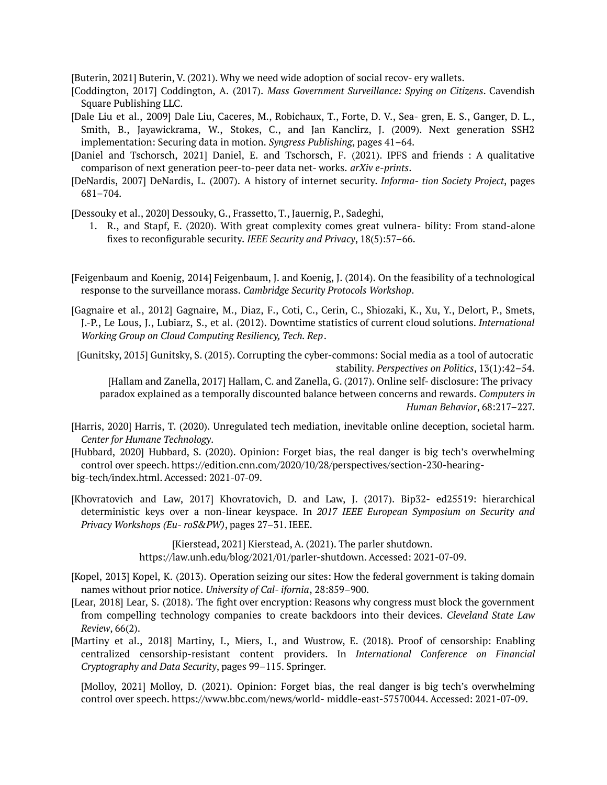[Buterin, 2021] Buterin, V. (2021). Why we need wide adoption of social recov- ery wallets.

- [Coddington, 2017] Coddington, A. (2017). *Mass Government Surveillance: Spying on Citizens*. Cavendish Square Publishing LLC.
- [Dale Liu et al., 2009] Dale Liu, Caceres, M., Robichaux, T., Forte, D. V., Sea- gren, E. S., Ganger, D. L., Smith, B., Jayawickrama, W., Stokes, C., and Jan Kanclirz, J. (2009). Next generation SSH2 implementation: Securing data in motion. *Syngress Publishing*, pages 41–64.
- [Daniel and Tschorsch, 2021] Daniel, E. and Tschorsch, F. (2021). IPFS and friends : A qualitative comparison of next generation peer-to-peer data net- works. *arXiv e-prints*.
- [DeNardis, 2007] DeNardis, L. (2007). A history of internet security. *Informa- tion Society Project*, pages 681–704.

[Dessouky et al., 2020] Dessouky, G., Frassetto, T., Jauernig, P., Sadeghi,

- 1. R., and Stapf, E. (2020). With great complexity comes great vulnera- bility: From stand-alone fixes to reconfigurable security. *IEEE Security and Privacy*, 18(5):57–66.
- [Feigenbaum and Koenig, 2014] Feigenbaum, J. and Koenig, J. (2014). On the feasibility of a technological response to the surveillance morass. *Cambridge Security Protocols Workshop*.
- [Gagnaire et al., 2012] Gagnaire, M., Diaz, F., Coti, C., Cerin, C., Shiozaki, K., Xu, Y., Delort, P., Smets, J.-P., Le Lous, J., Lubiarz, S., et al. (2012). Downtime statistics of current cloud solutions. *International Working Group on Cloud Computing Resiliency, Tech. Rep*.
- [Gunitsky, 2015] Gunitsky, S. (2015). Corrupting the cyber-commons: Social media as a tool of autocratic stability. *Perspectives on Politics*, 13(1):42–54. [Hallam and Zanella, 2017] Hallam, C. and Zanella, G. (2017). Online self- disclosure: The privacy

paradox explained as a temporally discounted balance between concerns and rewards. *Computers in Human Behavior*, 68:217–227.

- [Harris, 2020] Harris, T. (2020). Unregulated tech mediation, inevitable online deception, societal harm. *Center for Humane Technology*.
- [Hubbard, 2020] Hubbard, S. (2020). Opinion: Forget bias, the real danger is big tech's overwhelming control over speech. https://edition.cnn.com/2020/10/28/perspectives/section-230-hearingbig-tech/index.html. Accessed: 2021-07-09.
- [Khovratovich and Law, 2017] Khovratovich, D. and Law, J. (2017). Bip32- ed25519: hierarchical deterministic keys over a non-linear keyspace. In *2017 IEEE European Symposium on Security and Privacy Workshops (Eu- roS&PW)*, pages 27–31. IEEE.

[Kierstead, 2021] Kierstead, A. (2021). The parler shutdown. https://law.unh.edu/blog/2021/01/parler-shutdown. Accessed: 2021-07-09.

- [Kopel, 2013] Kopel, K. (2013). Operation seizing our sites: How the federal government is taking domain names without prior notice. *University of Cal- ifornia*, 28:859–900.
- [Lear, 2018] Lear, S. (2018). The fight over encryption: Reasons why congress must block the government from compelling technology companies to create backdoors into their devices. *Cleveland State Law Review*, 66(2).
- [Martiny et al., 2018] Martiny, I., Miers, I., and Wustrow, E. (2018). Proof of censorship: Enabling centralized censorship-resistant content providers. In *International Conference on Financial Cryptography and Data Security*, pages 99–115. Springer.

[Molloy, 2021] Molloy, D. (2021). Opinion: Forget bias, the real danger is big tech's [overwhelming](http://www.bbc.com/news/world-) control over [speech.](http://www.bbc.com/news/world-) https://www.bbc.com/news/world- middle-east-57570044. Accessed: 2021-07-09.